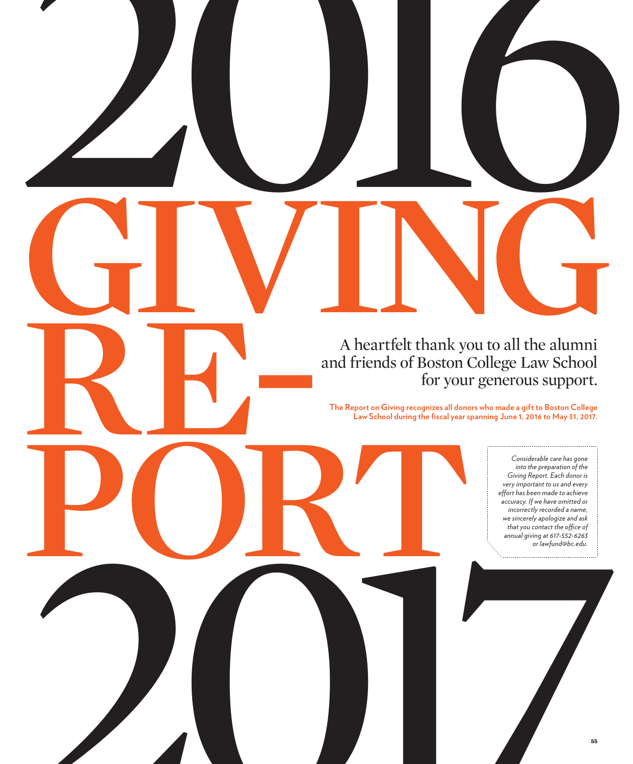2010 A heartfelt thank you to all the alumni RE-A heartfelt thank you to all the alumni and friends of Boston College Law School for your generous support. The Report on Giving recognizes all done<br>Law School during the fiscal years: **The Report on Giving recognizes all donors who made a gift to Boston College Law School during the fiscal year spanning June 1, 2016 to May 31, 2017.**  *Considerable care has gone into the preparation of the Giving Report. Each donor is very important to us and every effort has been made to achieve accuracy. If we have omitted or incorrectly recorded a name,*  2017 *we sincerely apologize and ask that you contact the office of annual giving at 617-552-6263 or lawfund@bc.edu.*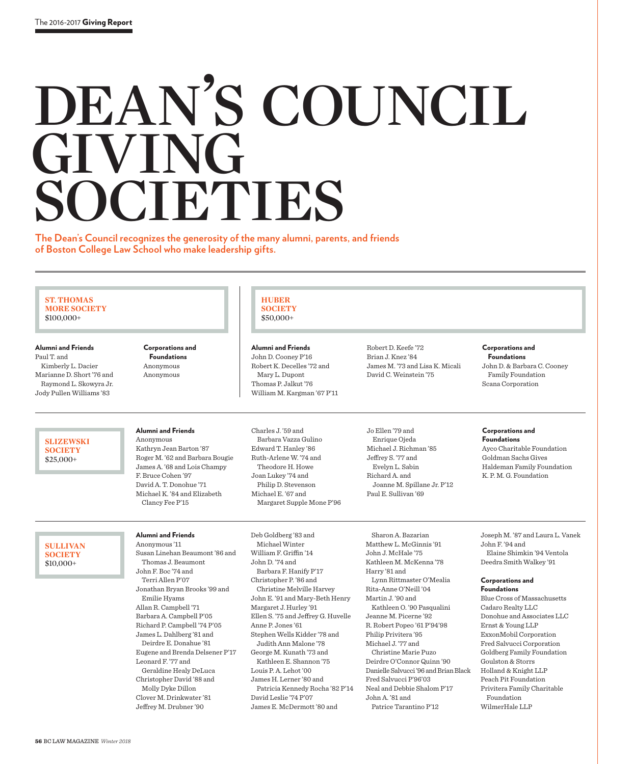## DEAN'S COUNCIL GIVIN SOCIETIES

**The Dean's Council recognizes the generosity of the many alumni, parents, and friends of Boston College Law School who make leadership gifts.** 

#### **ST. THOMAS MORE SOCIETY** \$100,000+

Alumni and Friends Paul T. and Kimberly L. Dacier Marianne D. Short '76 and Raymond L. Skowyra Jr. Jody Pullen Williams '83

> **SLIZEWSKI SOCIETY** \$25,000+

**SULLIVAN SOCIETY** \$10,000+

Corporations and Foundations Anonymous Anonymous

### Alumni and Friends

Anonymous Kathryn Jean Barton '87 Roger M. '62 and Barbara Bougie James A. '68 and Lois Champy F. Bruce Cohen '97 David A. T. Donohue '71 Michael K. '84 and Elizabeth Clancy Fee P'15

John D. Cooney P'16 Robert K. Decelles '72 and Mary L. Dupont Thomas P. Jalkut '76 William M. Kargman '67 P'11

**HUBER SOCIETY** \$50,000+

Alumni and Friends

Charles J. '59 and Barbara Vazza Gulino Edward T. Hanley '86 Ruth-Arlene W. '74 and Theodore H. Howe Joan Lukey '74 and Philip D. Stevenson Michael E. '67 and Margaret Supple Mone P'96 David C. Weinstein '75

James M. '73 and Lisa K. Micali

Joanne M. Spillane Jr. P'12

Jo Ellen '79 and Enrique Ojeda Michael J. Richman '85 Jeffrey S. '77 and Evelyn L. Sabin Richard A. and

Robert D. Keefe '72 Brian J. Knez '84

Paul E. Sullivan '69

#### Foundations John D. & Barbara C. Cooney

Corporations and

Family Foundation Scana Corporation

#### Corporations and Foundations

Ayco Charitable Foundation Goldman Sachs Gives Haldeman Family Foundation K. P. M. G. Foundation

#### Alumni and Friends

Anonymous '11 Susan Linehan Beaumont '86 and Thomas J. Beaumont John F. Boc '74 and Terri Allen P'07 Jonathan Bryan Brooks '99 and Emilie Hyams Allan R. Campbell '71 Barbara A. Campbell P'05 Richard P. Campbell '74 P'05 James L. Dahlberg '81 and Deirdre E. Donahue '81 Eugene and Brenda Delsener P'17 Leonard F. '77 and Geraldine Healy DeLuca Christopher David '88 and Molly Dyke Dillon Clover M. Drinkwater '81 Jeffrey M. Drubner '90

Deb Goldberg '83 and Michael Winter William F. Griffin '14 John D. '74 and Barbara F. Hanify P'17 Christopher P. '86 and Christine Melville Harvey John E. '91 and Mary-Beth Henry Margaret J. Hurley '91 Ellen S. '75 and Jeffrey G. Huvelle Anne P. Jones '61 Stephen Wells Kidder '78 and Judith Ann Malone '78 George M. Kunath '73 and Kathleen E. Shannon '75 Louis P. A. Lehot '00 James H. Lerner '80 and Patricia Kennedy Rocha '82 P'14 David Leslie '74 P'07 James E. McDermott '80 and

Sharon A. Bazarian Matthew L. McGinnis '91 John J. McHale '75 Kathleen M. McKenna '78 Harry '81 and Lynn Rittmaster O'Mealia Rita-Anne O'Neill '04 Martin J. '90 and Kathleen O. '90 Pasqualini Jeanne M. Picerne '92 R. Robert Popeo '61 P'94'98 Philip Privitera '95 Michael J. '77 and Christine Marie Puzo Deirdre O'Connor Quinn '90 Danielle Salvucci '96 and Brian Black Fred Salvucci P'96'03 Neal and Debbie Shalom P'17 John A. '81 and Patrice Tarantino P'12

Joseph M. '87 and Laura L. Vanek John F. '94 and Elaine Shimkin '94 Ventola Deedra Smith Walkey '91

#### Corporations and Foundations

Blue Cross of Massachusetts Cadaro Realty LLC Donohue and Associates LLC Ernst & Young LLP ExxonMobil Corporation Fred Salvucci Corporation Goldberg Family Foundation Goulston & Storrs Holland & Knight LLP Peach Pit Foundation Privitera Family Charitable Foundation WilmerHale LLP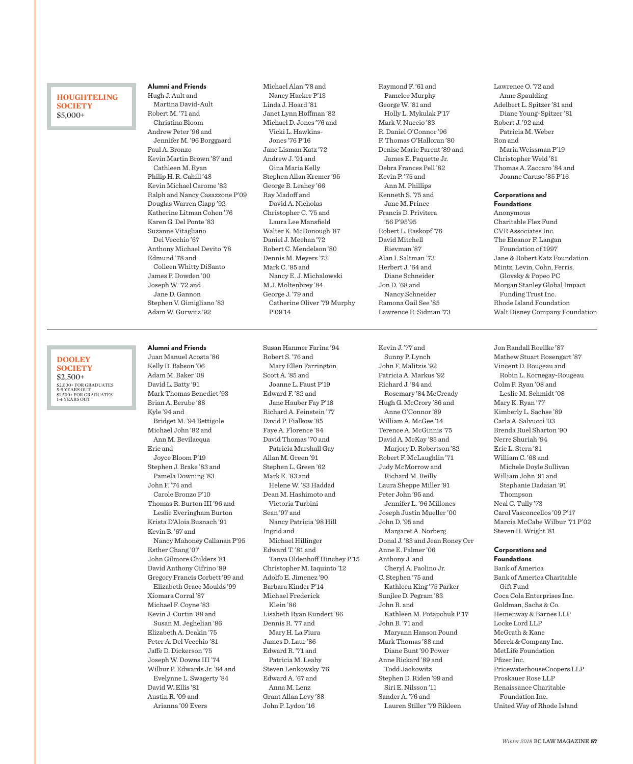#### **HOUGHTELING SOCIETY** \$5,000+

**DOOLEY SOCIETY** \$2,500+

\$2,000+ FOR GRADUATES 5-9 YEARS OUT \$1,500+ FOR GRADUATES 1-4 YEARS OUT

#### Alumni and Friends

Hugh J. Ault and Martina David-Ault Robert M. '71 and Christina Bloom Andrew Peter '96 and Jennifer M. '96 Borggaard Paul A. Bronzo Kevin Martin Brown '87 and Cathleen M. Ryan Philip H. R. Cahill '48 Kevin Michael Carome '82 Ralph and Nancy Casazzone P'09 Douglas Warren Clapp '92 Katherine Litman Cohen '76 Karen G. Del Ponte '83 Suzanne Vitagliano Del Vecchio '67 Anthony Michael Devito '78 Edmund '78 and Colleen Whitty DiSanto James P. Dowden '00 Joseph W. '72 and Jane D. Gannon Stephen V. Gimigliano '83 Adam W. Gurwitz '92

#### Alumni and Friends

Juan Manuel Acosta '86 Kelly D. Babson '06 Adam M. Baker '08 David L. Batty '91 Mark Thomas Benedict '93 Brian A. Berube '88 Kyle '94 and Bridget M. '94 Bettigole Michael John '82 and Ann M. Bevilacqua Eric and Joyce Bloom P'19 Stephen J. Brake '83 and Pamela Downing '83 John F. '74 and Carole Bronzo P'10 Thomas R. Burton III '96 and Leslie Everingham Burton Krista D'Aloia Busnach '91 Kevin B. '67 and Nancy Mahoney Callanan P'95 Esther Chang '07 John Gilmore Childers '81 David Anthony Cifrino '89 Gregory Francis Corbett '99 and Elizabeth Grace Moulds '99 Xiomara Corral '87 Michael F. Coyne '83 Kevin J. Curtin '88 and Susan M. Jeghelian '86 Elizabeth A. Deakin '75 Peter A. Del Vecchio '81 Jaffe D. Dickerson '75 Joseph W. Downs III '74 Wilbur P. Edwards Jr. '84 and Evelynne L. Swagerty '84 David W. Ellis '81 Austin R. '09 and Arianna '09 Evers

Michael Alan '78 and Nancy Hacker P'13 Linda J. Hoard '81 Janet Lynn Hoffman '82 Michael D. Jones '76 and Vicki L. Hawkins-Jones '76 P'16 Jane Lisman Katz '72 Andrew J. '91 and Gina Maria Kelly Stephen Allan Kremer '95 George B. Leahey '66 Ray Madoff and David A. Nicholas Christopher C. '75 and Laura Lee Mansfield Walter K. McDonough '87 Daniel J. Meehan '72 Robert C. Mendelson '80 Dennis M. Meyers '73 Mark C. '85 and Nancy E. J. Michalowski M.J. Moltenbrey '84 George J. '79 and Catherine Oliver '79 Murphy P'09'14

Susan Hanmer Farina '94 Robert S. '76 and Mary Ellen Farrington Scott A. '85 and Joanne L. Faust P'19 Edward F. '82 and Jane Hauber Fay P'18 Richard A. Feinstein '77 David P. Fialkow '85 Faye A. Florence '84 David Thomas '70 and Patricia Marshall Gay Allan M. Green '91 Stephen L. Green '62 Mark E. '83 and Helene W. '83 Haddad Dean M. Hashimoto and Victoria Turbini Sean '97 and Nancy Patricia '98 Hill Ingrid and Michael Hillinger Edward T. '81 and Tanya Oldenhoff Hinchey P'15 Christopher M. Iaquinto '12 Adolfo E. Jimenez '90 Barbara Kinder P'14 Michael Frederick Klein '86 Lisabeth Ryan Kundert '86 Dennis R. '77 and Mary H. La Fiura James D. Laur '86 Edward R. '71 and Patricia M. Leahy Steven Lenkowsky '76 Edward A. '67 and Anna M. Lenz Grant Allan Levy '88 John P. Lydon '16

Raymond F. '61 and Pamelee Murphy George W. '81 and Holly L. Mykulak P'17 Mark V. Nuccio '83 R. Daniel O'Connor '96 F. Thomas O'Halloran '80 Denise Marie Parent '89 and James E. Paquette Jr. Debra Frances Pell '82 Kevin P. '75 and Ann M. Phillips Kenneth S. '75 and Jane M. Prince Francis D. Privitera '56 P'95'95 Robert L. Raskopf '76 David Mitchell Rievman '87 Alan I. Saltman '73 Herbert J. '64 and Diane Schneider Jon D. '68 and Nancy Schneider Ramona Gail See '85 Lawrence R. Sidman '73

Kevin J. '77 and

Sunny P. Lynch John F. Malitzis '92 Patricia A. Markus '92 Richard J. '84 and Rosemary '84 McCready Hugh G. McCrory '86 and Anne O'Connor '89 William A. McGee '14 Terence A. McGinnis '75 David A. McKay '85 and Marjory D. Robertson '82 Robert F. McLaughlin '71 Judy McMorrow and Richard M. Reilly Laura Sheppe Miller '91 Peter John '95 and Jennifer L. '96 Millones Joseph Justin Mueller '00 John D. '95 and Margaret A. Norberg Donal J. '83 and Jean Roney Orr Anne E. Palmer '06 Anthony J. and Cheryl A. Paolino Jr. C. Stephen '75 and Kathleen King '75 Parker Sunjlee D. Pegram '83 John R. and Kathleen M. Potapchuk P'17 John B. '71 and Maryann Hanson Pound Mark Thomas '88 and Diane Bunt '90 Power Anne Rickard '89 and Todd Jackowitz Stephen D. Riden '99 and Siri E. Nilsson '11 Sander A. '76 and Lauren Stiller '79 Rikleen

Lawrence O. '72 and Anne Spaulding Adelbert L. Spitzer '81 and Diane Young-Spitzer '81 Robert J. '92 and Patricia M. Weber Ron and Maria Weissman P'19 Christopher Weld '81 Thomas A. Zaccaro '84 and Joanne Caruso '85 P'16

#### Corporations and Foundations

Anonymous Charitable Flex Fund CVR Associates Inc. The Eleanor F. Langan Foundation of 1997 Jane & Robert Katz Foundation Mintz, Levin, Cohn, Ferris, Glovsky & Popeo PC Morgan Stanley Global Impact Funding Trust Inc. Rhode Island Foundation Walt Disney Company Foundation

Jon Randall Roellke '87 Mathew Stuart Rosengart '87 Vincent D. Rougeau and Robin L. Kornegay-Rougeau Colm P. Ryan '08 and Leslie M. Schmidt '08 Mary K. Ryan '77 Kimberly L. Sachse '89 Carla A. Salvucci '03 Brenda Ruel Sharton '90 Nerre Shuriah '94 Eric L. Stern '81 William C. '68 and Michele Doyle Sullivan William John '91 and Stephanie Dadaian '91 Thompson Neal C. Tully '73 Carol Vasconcellos '09 P'17 Marcia McCabe Wilbur '71 P'02 Steven H. Wright '81

#### Corporations and Foundations

Bank of America Bank of America Charitable Gift Fund Coca Cola Enterprises Inc. Goldman, Sachs & Co. Hemenway & Barnes LLP Locke Lord LLP McGrath & Kane Merck & Company Inc. MetLife Foundation Pfizer Inc. PricewaterhouseCoopers LLP Proskauer Rose LLP Renaissance Charitable Foundation Inc. United Way of Rhode Island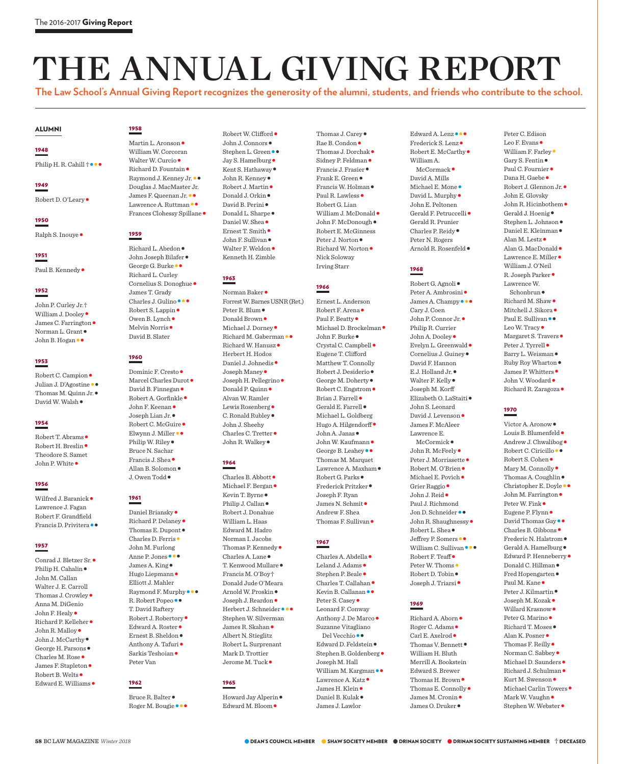## the annual giving report

**The Law School's Annual Giving Report recognizes the generosity of the alumni, students, and friends who contribute to the school.**

#### ALUMNI

#### 1948

#### Philip H. R. Cahill †•••

#### 1949

Robert D. O'Leary•

#### 1950

Ralph S. Inouye•

#### 1951

Paul B. Kennedy•

#### 1952

John P. Curley Jr.† William J. Dooley<br>James C. Farrington<br>Norman L. Grant<br>John B. Hogan

#### 1953

Robert C. Campion<br>• Julian J. D'Agostine<br>•• Thomas M. Quinn Jr.<br>• David W. Walsh

#### 1954

Robert T. Abrams<br>• Robert H. Breslin<br>• Theodore S. Samet John P. White•

#### 1956

Wilfred J. Baranick• Lawrence J. Fagan Robert F. Grandfield Francis D. Privitera••

#### 1957

Conrad J. Bletzer Sr.• Philip H. Cahalin• John M. Callan Walter J. E. Carroll Thomas J. Crowley• Anna M. DiGenio John F. Healy•<br>Richard P. Kelleher •<br>John R. Malloy •<br>John J. McCarthy •<br>George H. Parsons •<br>Charles M. Rose •<br>James F. Stapleton •<br>Robert B. Welts •<br>Edward E. Williams •

#### 1958

Martin L. Aronson •<br>William W. Corcoran Walter W. Curcio<br>• Richard D. Fountain<br>• Raymond J. Kenney Jr.<br>•• Douglas J. MacMaster Jr. James F. Queenan Jr. ••<br>Lawrence A. Ruttman ••<br>Frances Clohessy Spillane •

#### 1959

Richard L. Abedon<br>• John Joseph Bilafer<br>• George G. Burke<br>• Richard L. Curley Cornelius S. Donoghue• James T. Grady Charles J. Gulino<br>•• Robert S. Lappin<br>•• Owen B. Lynch<br>•• Melvin Norris<br>•• David B. Slater

#### 1960

Dominic F. Cresto<br>• Marcel Charles Durot • David B. Finnegan<br>• Robert A. Gorfinkle •<br>John F. Keenan<br>• Joseph Lian Jr.<br>• Robert C. McGuire<br>• Elwynn J. Miller<br>•• Philip W. Riley<br>•<br>Bruce N. Sachar Francis J. Shea<br>Allan B. Solomon<br>J. Owen Todd •

#### 1961

Daniel Briansky• Richard P. Delaney• Thomas E. Dupont• Charles D. Ferris• John M. Furlong Anne P. Jones<br>•• James A. King<br>•• Hugo Liepmann<br>• Elliott J. Mahler Raymond F. Murphy • • •<br>R. Robert Popeo • •<br>T. David Raftery Robert J. Robertory<br>• Edward A. Roster<br>• Ernest B. Sheldon<br>• Anthony A. Tafuri<br>• Sarkis Teshoian<br>• Peter Van

#### 1962

Bruce R. Balter •<br>Roger M. Bougie • • •

Robert W. Clifford<br>John J. Connors<br>Stephen L. Green<br>Jay S. Hamelburg<br>Kent S. Hathaway<br>Kent S. Hathaway<br>John R. Kenney<br>Robert J. Martin<br>Donald J. Orkin<br>David B. Perini<br>Donald L. Sharpe<br>Daniel W. Shea<br>Thensen T. Smith<br>John F

#### 1963

Norman Baker• Forrest W. Barnes USNR (Ret.) Peter R. Blum ●<br>Donald Brown ●<br>Michael J. Dorney ●<br>Richard M. Gaberman ●●<br>Richard W. Hanusz ●<br>Herbert H. Hodos Daniel J. Johnedis• Joseph Maney• Joseph H. Pellegrino• Donald P. Quinn• Alvan W. Ramler Lewis Rosenberg ●<br>C. Ronald Rubley ●<br>John J. Sheehy Charles C. Tretter •<br>John R. Walkey •

#### 1964

Charles B. Abbott<br>• Michael F. Bergan<br>• Kevin T. Byrne<br>• Philip J. Callan<br>• Robert J. Donahue William L. Haas Edward M. Hadro Norman I. Jacobs Thomas P. Kennedy ●<br>Charles A. Lane ●<br>T. Kenwood Mullare ●<br>Francis M. O'Boy† Donald Jude O'Meara Arnold W. Proskin ●<br>Joseph J. Reardon ●<br>Herbert J. Schneider ● ●●<br>Stephen W. Silverman James R. Skahan• Albert N. Stieglitz Robert L. Surprenant Mark D. Trottier Jerome M. Tuck•

#### 1965

Howard Jay Alperin •<br>Edward M. Bloom •

Thomas J. Carey•<br>Thomas J. Dorchak•<br>Sidney P. Feldman•<br>Francis J. Frasier•<br>Francis V. Frasier•<br>Francis W. Holman•<br>Paul R. Lawless•<br>Robert G. Lian<br>Robert G. Lian William J. McDonald ●<br>John F. McDonough ●<br>Robert E. McGinness Peter J. Norton •<br>Richard W. Norton •<br>Nick Soloway Irving Starr

#### 1966

Ernest L. Anderson Robert F. Arena •<br>Paul F. Beatty •<br>Michael D. Brockelman •<br>John F. Burke •<br>Crystal C. Campbell •<br>Eugene T. Clifford Matthew T. Connolly Robert J. Desiderio •<br>George M. Doherty •<br>Robert C. Engstrom •<br>Brian J. Farrell •<br>Gerald E. Farrell •<br>Michael L. Goldberg Hugo A. Hilgendorff<br>• John A. Janas<br>• John W. Kaufmann<br>• George B. Leahey<br>• Thomas M. Marquet Lawrence A. Maxham ●<br>Robert G. Parks ●<br>Frederick Pritzker ●<br>Joseph F. Ryan James N. Schmit• Andrew F. Shea

1967

Thomas F. Sullivan•

Charles A. Abdella<br>• Stephen P. Beale<br>• Stephen P. Beale<br>• Charles T. Callanan<br>• Kevin B. Callanan<br>• Peter S. Casey<br>• Leonard F. Conway Anthony J. De Marco •<br>Suzanne Vitagliano Del Vecchio • •<br>Edward D. Feldstein •<br>Stephen B. Goldenberg •<br>Joseph M. Hall William M. Kargman<br>•• Lawrence A. Katz<br>•• James H. Klein<br>•• Daniel B. Kulak<br>•• James J. Lawlor

Edward A. Lenz<br>•• Frederick S. Lenz<br>•• Robert E. McCarthy<br>• William A. McCormack• David A. Mills Michael E. Mone<br>• David L. Murphy<br>• John E. Peltonen Gerald F. Petruccelli• Gerald R. Prunier Charles P. Reidy• Peter N. Rogers Arnold R. Rosenfeld•

#### 1968

Robert G. Agnoli<br>• Peter A. Ambrosini<br>• James A. Champy<br>• Cary J. Coen John P. Connor Jr.• Philip R. Currier John A. Dooley •<br>Evelyn L. Greenwald •<br>Cornelius J. Guiney •<br>David F. Hannon E.J. Holland Jr.• Walter F. Kelly• Joseph M. Korff Elizabeth O. LaStaiti• John S. Leonard David J. Levenson ●<br>James F. McAleer Lawrence E. McCormick •<br>John R. McFeely •<br>Peter J. Morrissette •<br>Robert M. O'Brien •<br>Michael E. Povich •<br>John J. Reid •<br>Paul J. Richmond<br>Paul J. Richmond Jon D. Schneider<br>•• John R. Shaughnessy<br>• Robert L. Shea<br>• Jeffrey P. Somers<br>•• William C. Sullivan<br>•• Robert F. Teaff<br>• Peter W. Thoms<br>• Robert D. Tobin<br>• Joseph J. Triarsi

#### 1969

Richard A. Aborn<br>• Roger C. Adams<br>• Carl E. Axelrod<br>• Thomas V. Bennett<br>• William H. Bluth Merrill A. Bookstein Edward S. Brewer Thomas H. Brown<br>Thomas E. Connolly<br>James M. Cronin<br>James O. Druker<br>• Peter C. Edison<br>Leo F. Evans William F. Farley •<br>Gary S. Fentin •<br>Paul C. Fournier •<br>Dana H. Gaebe •<br>Robert J. Glennon Jr. •<br>John E. Glovsky John R. Hicinbothem<br>• Gerald J. Hoenig<br>• Stephen L. Johnson<br>• Daniel E. Kleinman<br>• Alan M. Lestz<br>• Alan G. MacDonald<br>• Lawrence E. Miller<br>• Ulliam J. O'Neil R. Joseph Parker• Lawrence W. Schonbrun<br>• Richard M. Shaw•<br>Mitchell J. Sikora•<br>Paul E. Sullivan••<br>Leo W. Tracy•<br>Margaret S. Travers•<br>Peter J. Tyrrell•<br>Barry L. Weisman•<br>Juby Roy Wharton•<br>John V. Woodard•<br>Richard R. Zaragoza•

#### 1970

Victor A. Aronow<br>
Louis B. Blumenfeld<br>
Andrew J. Chwalibog<br>
Andrew J. Chwalibog<br>
Robert C. Ciricillo<br>
Robert S. Cohen<br>
Mary M. Connolly<br>
Mary M. Connolly<br>
Thomas A. Coughlin<br>
Thomas Gay Solbon<br>
John M. Farrington<br>
Peter W.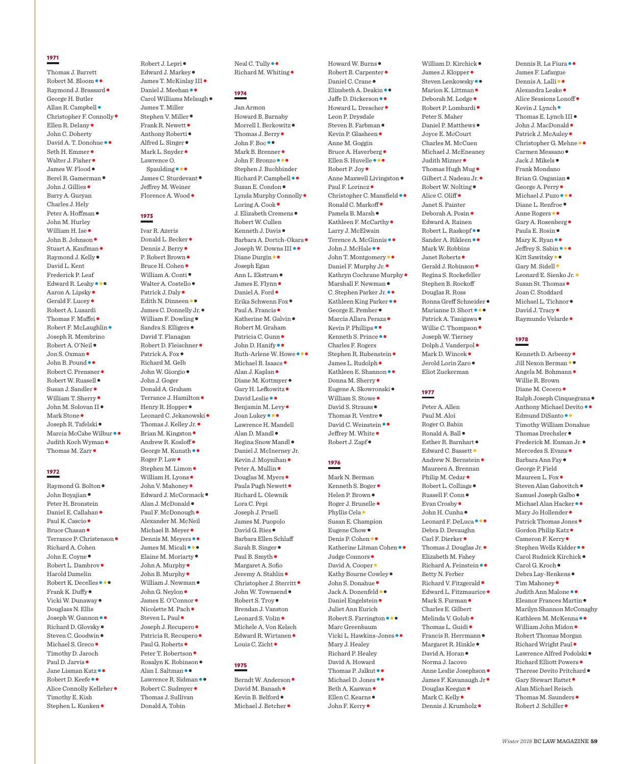#### 1971

Thomas J. Barrett Robert M. Bloom<br>•• Raymond J. Brassard<br>•• George H. Butler<br>Allan R. Campbell Christopher F. Connolly ●<br>Ellen R. Delany ●<br>John C. Doherty David A. T. Donohue ••<br>Seth H. Emmer •<br>Walter J. Fisher •<br>James W. Flood •<br>Berel R. Gamerman •<br>John J. Gillies •<br>Barry A. Guryan Charles J. Hely Peter A. Hoffman• John M. Hurley William H. Ise<br>• John B. Johnson<br>• Stuart A. Kaufman<br>• Raymond J. Kelly<br>• David L. Kent Frederick P. Leaf Edward R. Leahy • ••<br>Aaron A. Lipsky •<br>Gerald F. Lucey •<br>Robert A. Lusardi Thomas F. Maffei<br>Robert F. McLaughlin<br>Joseph R. Membrino Robert A. O'Neil<br>
Jon S. Oxman •<br>
John B. Pound •<br>
Robert C. Prensner •<br>
Robert W. Russell •<br>
Susan J. Sandler •<br>
William T. Sherry •<br>
John M. Solovan II •<br>
Joseph R. Tafelski •<br>
Marcia McCabe Wilbur •<br>
Judith Koch Wyman •

#### 1972

Raymond G. Bolton ●<br>John Boyajian ●<br>Peter H. Bronstein Daniel E. Callahan •<br>Paul K. Cascio •<br>Bruce Chasan •<br>Terrance P. Christenson •<br>Richard A. Cohen John E. Coyne• Robert L. Dambrov• Harold Damelin Robert K. Decelles<br>•• Frank K. Duffy<br>•• Vicki W. Dunaway<br>• Douglass N. Ellis Joseph W. Gannon••<br>Richard D. Glovsky•<br>Steven C. Goodwin•<br>Michael S. Greco•<br>Timothy D. Jaroch Paul D. Jarvis •<br>Jane Lisman Katz • •<br>Robert D. Keefe • •<br>Alice Connolly Kelleher •<br>Timothy E. Kish Stephen L. Kunken•

Robert J. Lepri<br>• Edward J. Markey<br>• James T. McKinlay III<br>• Daniel J. Meehan<br>• Carol Williams Melaugh<br>• James T. Miller Stephen V. Miller<br>• Frank R. Newett<br>• Anthony Roberti<br>• Alfred L. Singer<br>• Mark L. Snyder<br>• Lawrence O. Spaulding • • •<br>James C. Sturdevant •<br>Jeffrey M. Weiner Florence A. Wood •

#### 1973

Ivar R. Azeris Donald L. Becker<br>• P. Robert Brown<br>• P. Robert Brown<br>• Bruce H. Cohen<br>• William A. Conti•<br>¤ Walter A. Costello<br>• Patrick J. Daly<br>• Edith N. Dinneen<br>•• James C. Donnelly Jr.•<br>William F. Dowling•<br>Sandra S. Elligers<br>• David Robert D. Fleischner ●<br>Patrick A. Fox ●<br>Richard M. Gelb John W. Giorgio<br>John J. Goger Donald A. Graham Terrance J. Hamilton<br>
Henry R. Hopper<br>
Leonard C. Jekanowski<br>
Thomas J. Kelley Jr. •<br>
Brian M. Kingston<br>
Andrew R. Kosloff<br>
Accorge M. Kunath<br>
Roger P. Law<br>
Stephen M. Limon<br>
William H. Lyons<br>
John V. Mahoney<br>
Edward J. Mc Michael B. Meyer<br>
Dennis M. Meyers<br>
James M. Micali<br>
James M. Micali<br>
Elaine M. Moriarty<br>
John A. Murphy<br>
Villiam J. Newman<br>
William J. Newman<br>
William J. Newman<br>
John G. Neylon<br>
James E. O'Connor<br>
Nicolette M. Pach<br>
Steve Donald A. Tobin

Neal C. Tully • •<br>Richard M. Whiting •

#### 1974

Jan Armon Howard B. Barnaby Morrell I. Berkowitz ●<br>Thomas J. Berry ●<br>John F. Boc ●●<br>Mark B. Brenner ●<br>John F. Bronzo ●●●<br>Stephen J. Buchbinder Richard P. Campbell<br>•• Susan E. Condon<br>• Lynda Murphy Connolly<br>• Loring A. Cook<br>•<br>5 Elizabeth Cremens<br>• Robert W. Cullen Kenneth J. Davis •<br>Barbara A. Dortch-Okara •<br>Joseph W. Downs III • •<br>Diane Durgin • •<br>Joseph Egan Ann L. Ekstrum •<br>Daniel A. Ford •<br>Erika Schwenn Fox •<br>Paul A. Francis •<br>Katherine M. Galvin •<br>Robert M. Graham Patricia C. Gunn •<br>Puth-Arlene W. Howe •••<br>Ruth-Arlene W. Howe •••<br>Michael B. Isaacs •<br>Diane M. Kottmyer•<br>Gary H. Lefkowitz•<br>David Leslie ••<br>Benjamin M. Levy•<br>Joan Lukey •••<br>Lawrence H. Mandell Alan D. Mandl ●<br>Regina Snow Mandl ●<br>Daniel J. McInerney Jr. Kevin J. Moynihan<br>• Peter A. Mullin<br>• Douglas M. Myers<br>• Paula Pugh Newett<br>• Richard L. Olewnik Lora C. Pepi Joseph J. Pruell James M. Puopolo David G. Ries ●<br>Barbara Ellen Schlaff Sarah B. Singer<br>• Paul B. Smyth<br>• Margaret A. Sofio Jeremy A. Stahlin<br>• Christopher J. Sterritt<br>• John W. Townsend<br>• Robert S. Troy<br>• Brendan J. Vanston Leonard S. Volin ●<br>Michele A. Von Kelsch Edward R. Wirtanen ●<br>Louis C. Zicht ● 1975

Berndt W. Anderson ●<br>David M. Banash ●<br>Kevin B. Belford ●<br>Michael J. Betcher ●

# Howard W. Burns<br>• Robert B. Carpenter<br>• Daniel C. Crane<br>• Elizabeth A. Deakin<br>• Jaffe D. Dickerson<br>• Howard L. Drescher<br>• Leon P. Drysdale Steven B. Farbman<br>• Kevin P. Glasheen<br>• Anne M. Goggin Bruce A. Haverberg<br>• Ellen S. Huvelle •••<br>Robert P. Joy •<br>Anne Maxwell Livingston •<br>Paul F. Lorincz<br>• Christopher C. Mansfield ••<br>Pamela B. Markoff•<br>Fathleen F. McCarthy •<br>Larry J. McElwain<br>Larry J. McElwain Terence A. McGinnis<br>
• John J. McHale<br>
• John T. Montgomery<br>
• Daniel F. Murphy Jr.<br>
• Kathryn Cochrane Murphy<br>
• Kathryn Cochrane Murphy<br>
• C. Stephen Parker Jr.<br>
• Kathleen King Parker<br>
• George E. Pember<br>
• Kevin P. Phi Stephen R. Rubenstein •<br>James L. Rudolph •<br>Kathleen E. Shannon • • Donna M. Sherry<br>• Dugene A. Skowronski<br>• William S. Strauss<br>• David S. Strauss<br>• Thomas R. Ventre•<br>David C. Weinstein •• Jeffrey M. White •<br>Robert J. Zapf• 1976 Mark N. Berman Kenneth S. Boger<br>• Helen P. Brown<br>• Roger J. Brunelle<br>• Phyllis Cela<br>• Susan E. Champion Eugene Chow•<br>Denis P. Cohen•••<br>Katherine Litman Cohen•••<br>Judge Connors•<br>Kathy Bourne Cowley•<br>John S. Donahue•<br>Jack A. Donenfeld••<br>Daniel Engelstein•<br>Juliet Ann Eurich Robert S. Farrington • • •<br>Marc Greenbaum

Richard P. Healey David A. Howard

Thomas P. Jalkut<br>•• Michael D. Jones<br>•• Beth A. Kaswan<br>•• Ellen C. Kearns<br>•• John F. Kerry

Vicki L. Hawkins-Jones•• Mary J. Healey 1977

William D. Kirchick •<br>James J. Klopper •<br>Steven Lenkowsky<br>• Marion K. Littman<br>• Deborah M. Lodge<br>• Robert P. Lombardi<br>• Peter S. Maher Daniel P. Matthews• Joyce E. McCourt Charles M. McCuen Michael J. McEneaney Judith Mizner<br>• Thomas Hugh Mug<br>• Gilbert J. Nadeau Jr.<br>• Robert W. Nolting<br>• Alice C. Oliff• Janet S. Painter Deborah A. Posin• Edward A. Rainen Robert L. Raskopf••<br>Sander A. Rikleen ••<br>Mark W. Robbins Janet Roberts •<br>Gerald J. Robinson •<br>Regina S. Rockefeller Stephen B. Rockoff Douglas R. Ross Ronna Greff Schneider •<br>Marianne D. Short • • •<br>Patrick A. Tanigawa •<br>Willie C. Thompson •<br>Joseph W. Tierney Dolph J. Vanderpol• Mark D. Wincek• Jerold Lorin Zaro• Eliot Zuckerman

Peter A. Allen Paul M. Aloi Roger O. Babin Ronald A. Ball ●<br>Esther R. Barnhart ●<br>Edward C. Bassett ●<br>Andrew N. Bernstein ●<br>Maureen A. Brennan Philip M. Cedar<br>• Robert L. Collings •<br>Russell F. Conn<br>• Evan Crosby<br>• John H. Cunha•<br>Leonard F. DeLuca•••<br>Debra D. Devaughn Carl F. Dierker<br>• Thomas J. Douglas Jr. •<br>Elizabeth M. Fahey Richard A. Feinstein • •<br>Betty N. Ferber Richard V. Fitzgerald •<br>Edward L. Fitzmaurice •<br>Mark S. Furman •<br>Charles E. Gilbert Melinda V. Golub •<br>Thomas L. Guidi •<br>Francis R. Herrmann •<br>Margaret R. Hinkle •<br>David A. Horan •<br>Norma J. Iacovo Anne Leslie Josephson •<br>James F. Kavanaugh Jr •<br>Douglas Keegan •<br>Mark C. Kelly •<br>Dennis J. Krumholz • Dennis R. La Fiura•• James F. Lafargue Dennis A. Lalli••<br>Alexandra Leake •<br>Alice Sessions Lonoff•<br>Kevin J. Lynch III•<br>John J. MacDonald •<br>Patrick J. McAuley•<br>Christopher G. Mehne••<br>Carmen Messano•<br>Jack J. Mikels•<br>Frank Mondano<br>Frank Mondano Brian G. Osganian• George A. Perry• Michael J. Puzo••• Diane L. Renfroe• Anne Rogers•• Gary A. Rosenberg• Paula E. Rosin• Mary K. Ryan•• Jeffrey S. Sabin••• Kitt Sawitsky•• Gary M. Sidell• Leonard E. Sienko Jr.• Susan St. Thomas• Joan C. Stoddard Michael L. Tichnor<br>• David J. Tracy<br>• Raymundo Velarde

#### 1978

Kenneth D. Arbeeny<br>Jill Nexon Berman<br>• Angela M. Bohmann<br>Willie R. Brown Diane M. Cecero •<br>Ralph Joseph Cinquegrana •<br>Anthony Michael Devito •<br>Edmund DiSanto •<br>Timothy William Donahue Thomas Drechsler<br>• Frederick M. Enman Jr. •<br>Mercedes S. Evans<br>• Barbara Ann Fay •<br>George P. Field Maureen L. Fox •<br>Steven Alan Gabovitch •<br>Samuel Joseph Galbo •<br>Michael Alan Hacker •<br>Mary Jo Hollender •<br>Mary Jo Hollender •<br>Garcick Thomas Jones<br>Gordon Philip Katz •<br>Carol R. Kerry •<br>Stephen Wells Kidder ••<br>Carol G. Kroch Kathleen M. McKenna<br>• William John Midon<br>• Robert Thomas Morgan Richard Wright Paul<br>• Lawrence Alfred Podolski<br>• Richard Elliott Powers<br>• Therese Devito Pritchard<br>• Gary Stewart Rattet<br>• Alan Michael Reisch<br>• Thomas M. Saunders<br>Robert J. Schiller ●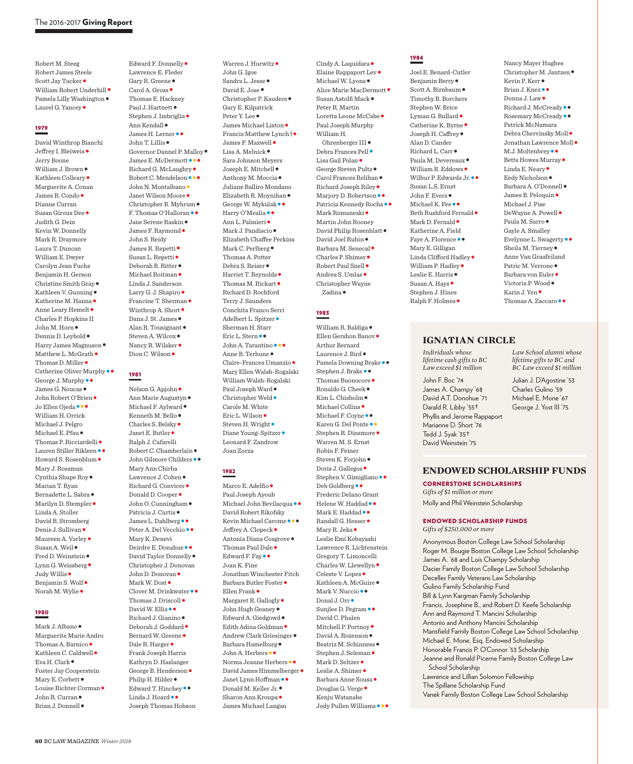Robert M. Steeg Robert James Steele Scott Jay Tucker<br>• William Robert Underhill<br>• Pamela Lilly Washington<br>• Laurel G. Yancey

#### 1979

David Winthrop Bianchi Jeffrey I. Bleiweis• Jerry Boone William J. Brown<br>• Kathleen Colleary<br>• Marguerite A. Conan James R. Condo• Dianne Curran Susan Giroux Dee• Judith G. Dein Kevin W. Donnelly Mark R. Draymore Laura T. Duncan William E. Dwyer Carolyn Jean Fuchs Benjamin H. Gerson Christine Smith Gray •<br>Kathleen V. Gunning •<br>Katherine M. Hanna •<br>Anne Leary Hemelt •<br>Charles P. Hopkins II John M. Horn•<br>Dennis D. Leybold •<br>Harry James Magnuson •<br>Matthew L. McGrath •<br>Thomas D. Miller •<br>Catherine Oliver Murphy ••<br>Jemas G. Noucas •<br>John Robert O'Brien•<br>Jo Ellen Ojeda •••<br>William H. Orrick<br>William H. Orrick Michael J. Pelgro Michael E. Pfau<br>• Thomas P. Ricciardelli<br>• Lauren Stiller Rikleen<br>• Howard S. Rosenblum<br>• Mary J. Rossman Cynthia Shupe Roy• Marian T. Ryan Bernadette L. Sabra<br>• Marilyn D. Stempler<br>• Linda A. Stoller David B. Stromberg Denis J. Sullivan<br>• Maureen A. Varley<br>• Susan A. Weil<br>• Fred D. Weinstein<br>• Lynn G. Weissberg<br>• Judy Willis<br>• Benjamin S. Wolf<br>• Norah M. Wylie<br>•

#### 1980

Mark J. Albano •<br>Marguerite Marie Andro Thomas A. Barnico ●<br>Kathleen C. Caldwell ●<br>Eva H. Clark ●<br>Foster Jay Cooperstein Mary E. Corbett •<br>Louise Richter Corman •<br>John R. Curran •<br>Brian J. Donnell • Edward F. Donnelly• Lawrence E. Fleder Gary R. Greene<br>Carol A. Gross<br>Thomas E. Hackney Paul J. Hartnett •<br>Stephen J. Imbriglia •<br>Ann Kendall •<br>James H. Lerner • •<br>John T. Lillis •<br>Governor Dannel P. Malloy •<br>John T. Lillis •<br>James E. McDermott • • •<br>Richard G. McLaughry •<br>Dohn N. Montalbano • •<br>Christopher B James R. Repetti• Susan L. Repetti• Deborah B. Ritter• Michael Roitman• Linda J. Sanderson Larry G. J. Shapiro<br>• Francine T. Sherman •<br>Winthrop A. Short<br>• Dana J. St. James<br>• Alan R. Tousignant<br>• Steven A. Wilcox<br>• Nancy R. Wilsker<br>• Dion C. Wilson

#### 1981

Nelson G. Apjohn •<br>Ann Marie Augustyn •<br>Michael F. Aylward •<br>Kenneth M. Bello •<br>Charles S. Belsky<br>Janet E. Butler •<br>Ralph J. Cafarelli Robert C. Chamberlain •<br>John Gilmore Childers • •<br>Mary Ann Chirba Lawrence J. Cohen•<br>Donald D. Cooper•<br>John O. Cunningham•<br>Patricia J. Curtis•<br>James L. Dahlberg••<br>Peter A. Del Vecchio••<br>Peter A. Del Vecchio••<br>Mary K. Denevi Deirdre E. Donahue ••<br>David Taylor Donnelly •<br>Christopher J. Donovan<br>John D. Donovan • John D. Donovan •<br>Clover M. Drinkwater • •<br>Thomas J. Driscoll<br>• David W. Ellis<br>• Richard J. Gianino<br>• Behorah J. Goddard<br>• Bernard W. Greene<br>• Dale R. Harger•<br>Frank Joseph Harris Kathryn D. Haslanger George B. Henderson<br>• Philip H. Hilder<br>• Edward T. Hinchey<br>• Linda J. Hoard<br>• Joseph Thomas Hobson

Warren J. Hurwitz •<br>John G. Igoe Sandra L. Jesse ●<br>David E. Jose ●<br>Christopher P. Kauders ●<br>Gary E. Kilpatrick Peter Y. Lee<br>• James Michael Liston<br>• Francis Matthew Lynch †•<br>James P. Maxwell<br>• Lisa A. Melnick<br>• Sara Johnson Meyers<br>Joseph F. Mitchell Anthony M. Moccia ●<br>Juliane Balliro Mondano Elizabeth R. Moynihan •<br>George W. Mykulak • •<br>Harry O'Mealia • •<br>Ann L. Palmieri •<br>Mark J. Pandiscio •<br>Elizabeth Chaffee Perkins Mark C. Perlberg• Thomas A. Potter Debra S. Reiser<br>• Harriet T. Reynolds<br>• Thomas M. Rickart<br>• Richard D. Rochford Terry J. Saunders Conchita Franco Serri Adelbert L. Spitzer• Sherman H. Starr Eric L. Stern • •<br>John A. Tarantino • • •<br>Anne B. Terhune •<br>Claire-Frances Umanzio •<br>Mary Ellen Walsh-Rogalski William Walsh-Rogalski Paul Joseph Ward• Christopher Weld• Carole M. White Eric L. Wilson ●<br>Steven H. Wright ●<br>Diane Young-Spitzer ●<br>Leonard F. Zandrow Joan Zorza

#### 1982

Marco E. Adelfio<br>Paul Joseph Ayoub Michael John Bevilacqua•• David Robert Bikofsky Kevin Michael Carome<br>••• Jeffrey A. Clopeck<br>••<br>Antonia Diana Cosgrove<br>• Thomas Paul Dale<br>•• Edward F. Fay<br>••<br>Joan K. Fine Jonathan Winchester Fitch Barbara Butler Foster<br>
Ellen Frank<br>
Margaret R. Gallogly<br>
John Hugh Geaney<br>
Edward A. Giedgowd<br>
Eduh Adina Goldman<br>
Edith Adina Goldman<br>
Andrew Clark Griesinger<br>
Barbara Hamelburg<br>
John A. Herbers<br>
Norma Jeanne Herbers<br>
Da Cindy A. Laquidara •<br>Elaine Rappaport Lev •<br>Michael W. Lyons •<br>Alice Marie MacDermott •<br>Susan Astolfi Mack •<br>Peter R. Martin Loretta Leone McCabe •<br>Paul Joseph Murphy William H. Ohrenberger III<br>• Debra Frances Pell<br>• Lisa Gail Polan •<br>George Steven Pultz<br>• Carol Frances Relihan<br>• Marjory D. Robertson<br>• Patricia Kennedy Rocha<br>• Mark Romaneski<br>• Martin John Rooney David Philip Rosenblatt ●<br>David Joel Rubin ●<br>Barbara M. Senecal ●<br>Charles P. Shimer ●<br>Robert Paul Snell ●<br>Andrea S. Umlas ●<br>Christopher Wayne Zadina•

#### 1983

William R. Baldiga •<br>Ellen Gershon Banov •<br>Arthur Bernard Laurence J. Bird •<br>Pamela Downing Brake • •<br>Stephen J. Brake • •<br>Thomas Buonocore •<br>Ronaldo G. Cheek •<br>Michael Collins •<br>Michael F. Coyne ••<br>Karen G. Del Ponte ••<br>Stephen R. Dinsmore •<br>Warren M. S. Ernst Robin F. Feiner Steven K. Forjohn<br>• Doris J. Gallegos<br>• Stephen V. Gimigliano<br>• Deb Goldberg<br>• Frederic Delano Grant Helene W. Haddad<br>•• Mark E. Haddad<br>•• Randall G. Hesser<br>•• Mary R. Jeka<br>•• Leslie Emi Kobayashi Lawrence R. Lichtenstein Gregory T. Limoncelli Charles W. Llewellyn<br>• Celeste V. Lopes<br>• Kathleen A. McGuire<br>• Mark V. Nuccio<br>• Donal J. Orr•<br>Sunjlee D. Pegram<br>• David C. Phalen Mitchell P. Portnoy<br>• David A. Rozenson<br>• Beatriz M. Schinness<br>• Stephen J. Seltzer<br>• Mark D. Seltzer<br>• Leslie A. Shimer<br>• Douglas G. Verge<br>• Douglas G. Verge<br>• Kenju Watanabe Jody Pullen Williams •••

#### 1984

Joel E. Benard-Cutler Benjamin Berry• Scott A. Birnbaum• Timothy B. Borchers Stephen W. Brice Lyman G. Bullard• Catherine K. Byrne• Joseph H. Caffrey• Alan D. Cander Richard L. Carr<br>• Paula M. Devereaux<br>• William R. Eddows<br>• Wilbur P. Edwards Jr.<br>• Susan L.S. Ernst John F. Evers• Michael K. Fee•• Beth Rushford Fernald• Mark D. Fernald• Katherine A. Field Faye A. Florence ••<br>Mary E. Gilligan Linda Clifford Hadley •<br>William P. Hadley •<br>Leslie E. Harris •<br>Susan A. Hays •<br>Stephen J. Hines Ralph F. Holmes•

Nancy Mayer Hughes Christopher M. Jantzen<br>• Kevin P. Kerr<br>• Donna J. Law<br>• Richard J. McCready<br>• Rosemary McCready<br>• Rosemary McCready<br>• Ratrick McNamara Debra Chervinsky Moll •<br>M.J. Moltenbrey ••<br>M.J. Moltenbrey ••<br>Betts Howes Murray •<br>Linda E. Neary •<br>Barbara A. O'Donnell •<br>James B. Peloquin •<br>Michael J. Pise<br>Michael J. Pise DeWayne A. Powell ●<br>Paula M. Sarro ●<br>Gayle A. Smalley Evelynne L. Swagerty•• Sheila M. Tierney• Anne Van Graafeiland Patric M. Verrone<br>• Barbara von Euler<br>• Victoria P. Wood<br>• Karin J. Yen<br>• Thomas A. Zaccaro

#### **ignatian circle**

*Individuals whose lifetime cash gifts to BC Law exceed \$1 million*

John F. Boc '74 James A. Champy '68 David A.T. Donohue '71 Darald R. Libby '55† Phyllis and Jerome Rappaport Marianne D. Short '76 Tedd J. Syak '35† David Weinstein '75

*Law School alumni whose lifetime gifts to BC and BC Law exceed \$1 million*

Julian J. D'Agostine '53 Charles Gulino '59 Michael E. Mone '67 George J. Yost III '75

#### **endowed scholarship funds**

CORNERSTONE SCHOLARSHIPS

*Gifts of \$1 million or more* Molly and Phil Weinstein Scholarship

#### ENDOWED SCHOLARSHIP FUNDS

*Gifts of \$250,000 or more*

Anonymous Boston College Law School Scholarship Roger M. Bougie Boston College Law School Scholarship James A. '68 and Lois Champy Scholarship Dacier Family Boston College Law School Scholarship Decelles Family Veterans Law Scholarship Gulino Family Scholarship Fund Bill & Lynn Kargman Family Scholarship Francis, Josephine B., and Robert D. Keefe Scholarship Ann and Raymond T. Mancini Scholarship Antonio and Anthony Mancini Scholarship Mansfield Family Boston College Law School Scholarship Michael E. Mone, Esq. Endowed Scholarship Honorable Francis P. O'Connor '53 Scholarship Jeanne and Ronald Picerne Family Boston College Law School Scholarship Lawrence and Lillian Solomon Fellowship The Spillane Scholarship Fund Vanek Family Boston College Law School Scholarship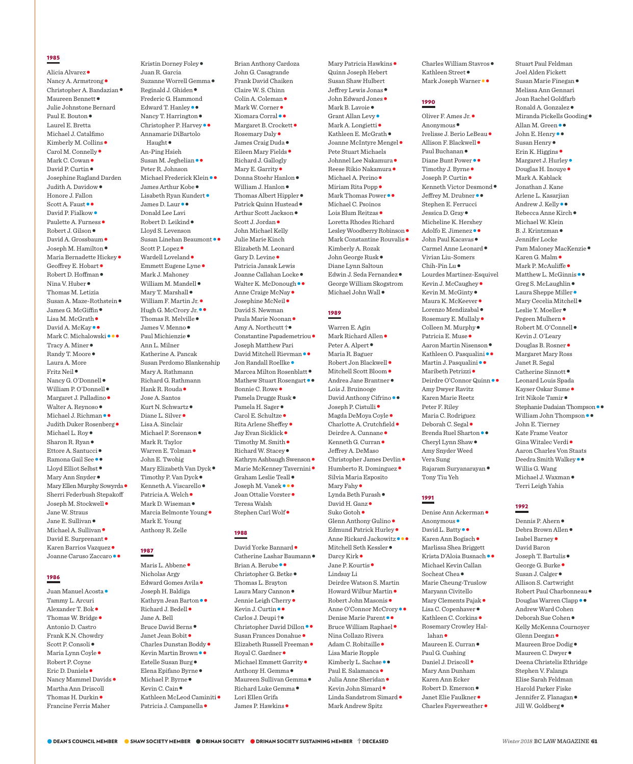#### 1985

Alicia Alvarez• Nancy A. Armstrong• Christopher A. Bandazian• Maureen Bennett• Julie Johnstone Bernard Paul E. Bouton• Laurel E. Bretta Michael J. Catalfimo<br>Kimberly M. Collins Carol M. Connelly •<br>Mark C. Cowan •<br>David P. Curtin •<br>Josephine Ragland Darden Judith A. Davidow• Honore J. Fallon Scott A. Faust••<br>Paulette A. Furness•<br>Robert J. Gilson•<br>David A. Grossbaum•<br>Joseph M. Hamilton•<br>Maria Bernadette Hickey•<br>Geoffrey E. Hobart•<br>Robert D. Hoffman•<br>Nina V. Huber•<br>Thomas M. Letizia Susan A. Maze-Rothstein •<br>James G. McGrath •<br>David A. McGrath<br>• David A. McKay<br>• Mark C. Michalowski<br>•• Tracy A. Miner<br>• Tracy A. Moore<br>• Laura A. Moore<br>Fritz Neil •<br>Fritz Neil • Fritz Neil<br>
Nancy G. O'Donnell<br>
William P. O'Donnell<br>
William P. O'Donnell<br>
Margaret J. Palladino<br>
Walter A. Reynoso<br>
Michael J. Richman<br>
Judith Duker Rosenberg<br>
Michael L. Roy<br>
Sharon R. Ryan<br>
Ettore A. Santucci<br>
Ramona G Joseph M. Stockwell• Jane W. Straus Jane E. Sullivan •<br>Michael A. Sullivan •<br>David E. Surprenant •<br>Karen Barrios Vazquez •<br>Joanne Caruso Zaccaro ••

#### 1986

Juan Manuel Acosta• Tammy L. Arcuri Alexander T. Bok• Thomas W. Bridge• Antonio D. Castro Frank K.N. Chowdry Scott P. Consoli• Maria Lynn Coyle• Robert P. Coyne Eric D. Daniels• Nancy Mammel Davids• Martha Ann Driscoll Thomas H. Durkin ●<br>Francine Ferris Maher

Kristin Dorney Foley •<br>Juan R. Garcia Suzanne Worrell Gemma ●<br>Reginald J. Ghiden ●<br>Frederic G. Hammond Edward T. Hanley ••<br>Nancy T. Harrington •<br>Christopher P. Harvey ••<br>Annamarie DiBartolo Haught• An-Ping Hsieh Susan M. Jeghelian•• Peter R. Johnson Michael Frederick Klein ••<br>James Arthur Kobe •<br>Lisabeth Ryan Kundert •<br>James D. Laur ••<br>Donald Lee Lavi Robert D. Leikind• Lloyd S. Levenson Susan Linehan Beaumont<br>•• Scott P. Lopez<br>• Wardell Loveland<br>• Emmett Eugene Lyne<br>• Mark J. Mahoney William M. Mandell<br>• Mulliam F. Martin Jr.<br>• Hugh G. McCrory Jr.<br>• Hugh G. McCrory Jr.<br>• Thomas R. Melville<br>• James V. Menno<br>• Paul Michienzie<br>• Ann L. Milner Katherine A. Pancak Susan Perdomo Blankenship Mary A. Rathmann Richard G. Rathmann Hank R. Rouda• Jose A. Santos Kurt N. Schwartz<br>Diane L. Silver<br>Lisa A. Sinclair Michael P. Sorenson• Mark R. Taylor Warren E. Tolman<br>John E. Twohig Mary Elizabeth Van Dyck<br>• Timothy P. Van Dyck<br>• Kenneth A. Viscarello<br>• Patricia A. Welch<br>• Mark D. Wiseman<br>• Marcia Belmonte Young<br>• Mark E. Young Anthony R. Zelle

#### 1987

Maris L. Abbene<br>Nicholas Argy Edward Gomes Avila• Joseph H. Baldiga Kathryn Jean Barton•• Richard J. Bedell• Jane A. Bell Bruce David Berns •<br>Janet Jean Bobit •<br>Charles Dunstan Boddy •<br>Kevin Martin Brown ••<br>Estelle Susan Burg<br>• Elena Epifano Byrne<br>• Michael P. Byrne<br>Kathleen McLeod Caminiti •<br>Patricia J. Campanella • Brian Anthony Cardoza John G. Casagrande Frank David Chaiken Claire W. S. Chinn Colin A. Coleman •<br>Mark W. Corner •<br>Margaret B. Crockett •<br>Rosemary Daly •<br>James Craig Duda •<br>Eileen Mary Fields •<br>Eileen Mary Fields •<br>Richard J. Gallogly Mary E. Garrity •<br>Milliam J. Hanlon •<br>Thomas Albert Hippler •<br>Patrick Quinn Hustead •<br>Arthur Scott Jackson •<br>Scott J. Jordan •<br>John Michael Kelly Julie Marie Kinch Elizabeth M. Leonard Gary D. Levine• Patricia Jansak Lewis Joanne Callahan Locke• Walter K. McDonough•• Anne Craige McNay• Josephine McNeil• David S. Newman Paula Marie Noonan• Amy A. Northcutt †• Constantine Papademetriou• Joseph Matthew Pari David Mitchell Rievman<br>
• Jon Randall Roellke<br>
• Marcea Milton Rosenblatt<br>
• Mathew Stuart Rosengart<br>
• Pamela Drugge Rusk<br>
• Pamela H. Sager<br>
• Carol E. Schultze<br>
• Carol E. Schultze<br>
• Carol E. Schultze<br>
• Carol E. Schul Stephen Carl Wolf•

#### 1988

David Yorke Bannard ●<br>Catherine Lashar Baumann ●<br>Brian A. Berube ●●<br>Christopher G. Betke ●<br>Thomas L. Brayton Laura Mary Cannon<br>
Jennie Leigh Cherry<br>
Kevin J. Curtin<br>
Carlos J. Deupi†<br>
Christopher David Dillon<br>
Susan Frances Donahue<br>
Elizabeth Russell Freeman<br>
Royal C. Gardner<br>
Anthony H. Gemma<br>
Anthony H. Gemma<br>
Richard Luke Gemm James P. Hawkins•

Mary Patricia Hawkins• Quinn Joseph Hebert Susan Shaw Hulbert Jeffrey Lewis Jonas •<br>John Edward Jones •<br>Mark B. Lavoie •<br>Grant Allan Levy •<br>Mark A. Longietti •<br>Kathleen E. McGrath •<br>Joanne McIntyre Mengel •<br>Pete Stuart Michaels Johnnel Lee Nakamura• Reese Rikio Nakamura• Michael A. Perino• Miriam Rita Popp• Mark Thomas Power•• Michael C. Psoinos Lois Blum Reitzas• Loretta Rhodes Richard Lesley Woodberry Robinson<br>• Mark Constantine Rouvalis<br>• Kimberly A. Rozak John George Rusk• Diane Lynn Saltoun Edwin J. Seda Fernandez• George William Skogstrom Michael John Wall $\bullet$ 

#### 1989

Warren E. Agin Mark Richard Allen •<br>Peter A. Alpert •<br>Maria R. Baguer Robert Jon Blackwell<br>• Mitchell Scott Bloom<br>• Andrea Jane Brantner<br>• Lois J. Bruinooge David Anthony Cifrino<br>•• Joseph P. Cistulli<br>•• Magda DeMoya Coyle<br>•• Charlotte A. Crutchfield<br>•• Deirdre A. Cunnane<br>•• Kenneth G. Curran•<br>Jeffrey A. DeMaso Christopher James Devlin<br>• Humberto R. Dominguez<br>• Silvia Maria Esposito Mary Fahy •<br>Lynda Beth Furash •<br>David H. Ganz •<br>Glenn Anthony Gulino •<br>Edmund Patrick Hurley •<br>Anne Rickard Jackowitz•••<br>Mitchell Seth Kessler •<br>Darcy Kirk •<br>Jane P. Kourtis •<br>Lindsay Li<br>Lindsay Li Deirdre Watson S. Martin Howard Wilbur Martin<br>• Robert John Masonis<br>• Anne O'Connor McCrory<br>• Denise Marie Parent<br>• Bruce William Raphael<br>• Nina Collazo Rivera Adam C. Robitaille• Lisa Marie Ropple Kimberly L. Sachse<br>•• Paul E. Salamanca<br>•• Julia Anne Sheridan<br>•• Kevin John Simard<br>•• Linda Sandstrom Simard<br>•• Mark Andrew Spitz

Charles William Stavros •<br>Kathleen Street •<br>Mark Joseph Warner • •

#### 1990

Oliver F. Ames Jr.•<br>Anonymous •<br>Ivelisse J. Berio LeBeau•<br>Allison F. Blackwell •<br>Paul Buchanan •<br>Diane Bunt Power•••<br>Timothy J. Byrne<br>Kenneth Victor Desmond•<br>Jeffrey M. Drubner•••<br>Stephen E. Ferrucci Jessica D. Gray• Micheline K. Hershey Adolfo E. Jimenez•• John Paul Kacavas• Carmel Anne Leonard• Vivian Liu-Somers Chih-Pin Lu ●<br>Lourdes Martinez-Esquivel Kevin J. McCaughey<br>Kevin M. McGinty<br>Maura K. McKeever<br>Lorenzo Mendizabal<br>Rosemary E. Mullaly<br>Rosemary E. Mullaly<br>Patricia E. Muse<br>Aaron Martin Nisenson<br>Kathleen O. Pasqualini<br>Martin J. Pasqualini<br>Martin J. Pasqualini<br>Marti Karen Marie Reetz Peter F. Riley Maria C. Rodriguez Deborah C. Segal• Brenda Ruel Sharton•• Cheryl Lynn Shaw• Amy Snyder Weed Vera Sung Rajaram Suryanarayan• Tony Tiu Yeh

#### 1991

Denise Ann Ackerman •<br>Anonymous •<br>David L. Batty • •<br>Karen Ann Bogisch •<br>Marlissa Shea Briggett Krista D'Aloia Busnach ••<br>Michael Kevin Callan<br>Socheat Chea • Marie Cheung-Truslow Maryann Civitello Mary Clements Pajak •<br>Lisa C. Copenhaver •<br>Kathleen C. Corkins •<br>Rosemary Crowley Hallahan• Maureen E. Curran• Paul G. Cushing Daniel J. Driscoll• Mary Ann Dunham Karen Ann Ecker Robert D. Emerson •<br>Janet Elie Faulkner •<br>Charles Faverweather •

Stuart Paul Feldman Joel Alden Fickett Susan Marie Finegan• Melissa Ann Gennari Joan Rachel Goldfarb Ronald A. Gonzalez •<br>Miranda Pickells Gooding •<br>Allan M. Green • •<br>Susan Henry •<br>Susan Henry •<br>Margaret J. Hurley •<br>Margaret J. Hurley •<br>Douglas H. Inouye •<br>Mark A. Kablack Jonathan J. Kane Arlene L. Kasarijan Andrew J. Kelly • •<br>Rebecca Anne Kirch •<br>Michael W. Klein B. J. Krintzman• Jennifer Locke Pam Maloney MacKenzie •<br>Karen G. Malm •<br>Mark P. McAuliffe •<br>Matthew L. McGinnis ••<br>Greg S. McLaughlin •<br>Laura Sheppe Miller• Mary Cecelia Mitchell<br>• Deslie Y. Moeller• Pegeen Mulhern• Robert M. O'Connell •<br>Kevin J. O'Leary Douglas B. Rosner• Margaret Mary Ross Janet R. Segal Catherine Sinnott ●<br>Leonard Louis Spada Kayser Oskar Sume ●<br>Irit Nikole Tamir ●<br>Stephanie Dadaian Thompson ●●<br>William John Thompson ●●<br>John E. Tierney Kate Frame Veator Gina Witalec Verdi• Aaron Charles Von Staats Deedra Smith Walkey•• Willis G. Wang Michael J. Waxman• Terri Leigh Yahia

#### 1992

Dennis P. Ahern ●<br>Debra Brown Allen ●<br>Isabel Barney ●<br>David Baron Joseph T. Bartulis• George G. Burke• Susan J. Calger• Allison S. Cartwright Robert Paul Charbonneau• Douglas Warren Clapp•• Andrew Ward Cohen Deborah Sue Cohen• Kelly McKenna Cournoyer Glenn Deegan• Maureen Broe Dodig• Maureen C. Dwyer• Deena Christelis Ethridge Stephen V. Falanga Elise Sarah Feldman Harold Parker Fiske Jennifer Z. Flanagan• Jill W. Goldberg•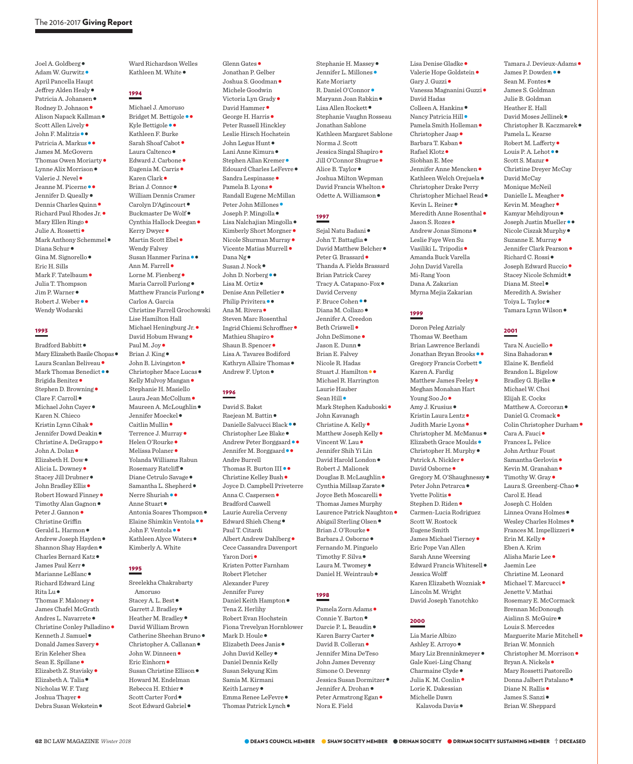Joel A. Goldberg• Adam W. Gurwitz• April Pancella Haupt Jeffrey Alden Healy •<br>Patricia A. Johansen •<br>Rodney D. Johnson •<br>Alison Napack Kallman •<br>Scott Allen Lively•<br>Patricia A. Markus ••<br>Patricia A. Markus••<br>James M. McGovern Thomas Owen Moriarty<br>
Lynne Alix Morrison<br>
Valerie J. Nevel<br>
Jeanne M. Picerne<br>
Jeanne M. Picerne<br>
Jeanne M. Picerne<br>
Jeannifer D. Queally<br>
Dennis Charles Quinn<br>
Mary Ellen Ringo<br>
Mark Anthony Schemmel<br>
Diana Schur<br>
Gina M Mark F. Tatelbaum<br>Julia T. Thompson Jim P. Warner ●<br>Robert J. Weber ●●<br>Wendy Wodarski

#### 1993

Bradford Babbitt •<br>Mary Elizabeth Basile Chopas •<br>Laura Scanlan Beliveau •<br>Mark Thomas Benedict ••<br>Stephen D. Browning<br>• Clare F. Carroll<br>• Michael John Cayer •<br>Karen N. Chieco<br>• Kristin Lynn Cihak •<br>Jennifer Dowd Deakin •<br>Christine A. DeGrappo •<br>John A. Dolan •<br>Elizabeth H. Dow<br>Alicia L. Downey •<br>Stacey Jill Drubner •<br>John Bradley Ellis •<br>Robert Howard Finney •<br>Timothy Alan Gagnon •<br>Peter J. Ganno Christine Griffin<br>Gerald L. Harmon<br>• Andrew Joseph Hayden<br>• Shannon Shay Hayden<br>• Charles Bernard Katz<br>• James Paul Kerr<br>• Marianne LeBlanc<br>• Richard Edward Ling Rita Lu• Thomas F. Maloney• James Chafel McGrath Andres L. Navarrete •<br>Christine Conley Palladino •<br>Kenneth J. Samuel •<br>Donald James Savery •<br>Erin Keleher Shea Sean E. Spillane<br>• Elizabeth Z. Stavisky<br>• Elizabeth A. Talia<br>• Nicholas W. F. Targ<br>Joshua Thayer • Debra Susan Wekstein ●

Ward Richardson Welles Kathleen M. White•

#### 1994

Michael J. Amoruso Bridget M. Bettigole • ●<br>Kyle Bettigole ●●<br>Kathleen F. Burke Sarah Shoaf Cabot<br>• Edward J. Carbone<br>• Eugenia M. Carris<br>• Karen Clark<br>• Karen Clark<br>• Brian J. Connor<br>• William Dennis Cramer Carolyn D'Agincourt • Buckmaster De Wolf • Cynthia Hallock Deegan • Kerry Dwyer<br>• Kerry Dwyer<br>• Martin Scott Ebel<br>• Martin Scott Ebel<br>• Wendy Falvey Susan Hanmer Farina ••<br>Ann M. Farrell •<br>Lorne M. Fienberg •<br>Maria Carroll Furlong •<br>Matthew Francis Furlong •<br>Carlos A. Garcia Christine Farrell Grochowski Lise Hamilton Hall Michael Heningburg Jr. • David Hobum Hwang<br>• Paul M. Joy<br>• Brian J. King<br>• John B. Livingston<br>• Christopher Mace Lucas<br>• Christopher Mace Lucas<br>• Kelly Mulvoy Mangan<br>• Stephanie H. Masiello Laura Jean McCollum<br>• Maureen A. McLoughlin<br>• Jennifer Moeckel<br>• Caitlin Mullin<br>• Terrence J. Murray<br>• Helen O'Rourke<br>• Melissa Polaner<br>• Melissa Polaner<br>• Yolanda Williams Rabun Rosemary Ratcliff •<br>Diane Cetrulo Savage •<br>Samantha L. Shepherd •<br>Nerre Shuriah ••<br>Antonia Soares Thompson •<br>Elaine Shimkin Ventola ••<br>John F. Ventola ••<br>Kathleen Alyce Waters •<br>Kimberly A. White

#### 1995

Sreelekha Chakrabarty Amoruso Stacey A. L. Best<br>• Garrett J. Bradley<br>• Heather M. Bradley<br>• David William Brown Catherine Sheehan Bruno • Christopher A. Callanan<br>• John W. Dinneen<br>• Eric Einhorn<br>• Susan Christine Ellison<br>• Howard M. Endelman Rebecca H. Ethier ●<br>Scott Carter Ford ●<br>Scot Edward Gabriel ●

Glenn Gates •<br>Jonathan P. Gelber Joshua S. Goodman• Michele Goodwin Victoria Lyn Grady •<br>David Hammer •<br>George H. Harris •<br>Peter Russell Hinckley Leslie Hirsch Hochstein John Legus Hunt ●<br>Lani Anne Kimura ●<br>Stephen Allan Kremer<br>• Edouard Charles LeFevre ●<br>Sandra Lespinasse<br>• Pamela B. Lyons ●<br>Randall Eugene McMillan Peter John Millones<br>
Joseph P. Mingolla<br>
Lisa Nalchajian Mingolla<br>
Lisa Nalchajian Mingolla<br>
Kimberly Short Morgner<br>
Nicole Shurman Murray<br>
Vicente Matias Murrell<br>
Dana Ng<br>
Susan J. Nock<br>
Donis Ann Pelletier<br>
Philip Privit Ingrid Chiemi Schroffner• Mathieu Shapiro• Shaun B. Spencer• Lisa A. Tavares Bodiford Kathryn Allaire Thomas ●<br>Andrew F. Upton ●

#### 1996

David S. Bakst Danielle Salvucci Black ••<br>Christopher Lee Blake •<br>Andrew Peter Borggaard ••<br>Jennifer M. Borggaard ••<br>Andre Burrell Thomas R. Burton III<br>•• Christine Kelley Bush<br>•• Joyce D. Campbell Priveterre Anna C. Caspersen• Bradford Caswell Laurie Aurelia Cerveny Edward Shieh Cheng• Paul T. Citardi Albert Andrew Dahlberg• Cece Cassandra Davenport Yaron Dori ●<br>Kristen Potter Farnham Robert Fletcher Alexander Furey Jennifer Furey Daniel Keith Hampton• Tena Z. Herlihy Robert Evan Hochstein Fiona Trevelyan Hornblower Mark D. Houle •<br>Elizabeth Dees Janis •<br>John David Kelley •<br>Daniel Dennis Kelly Susan Sekyung Kim Samia M. Kirmani Keith Larney ●<br>Emma Renee LeFevre ●<br>Thomas Patrick Lynch ●

Stephanie H. Massey<br>• Jennifer L. Millones<br>• Kate Moriarty<br>R. Daniel O'Connor Maryann Joan Rabkin ●<br>Lisa Allen Rockett ●<br>Stephanie Vaughn Rosseau Jonathan Sablone Kathleen Margaret Sablone Norma J. Scott Jessica Singal Shapiro• Jill O'Connor Shugrue• Alice B. Taylor• Joshua Milton Wepman David Francis Whelton ●<br>Odette A. Williamson ●

#### 1997

Sejal Natu Badani<br>• John T. Battaglia<br>• David Matthew Belcher<br>• Peter G. Brassard<br>• Thanda A. Fields Brassard Brian Patrick Carey Tracy A. Catapano-Fox• David Cerveny F. Bruce Cohen•• Diana M. Collazo• Jennifer A. Creedon Beth Criswell<br>• John DeSimone<br>• Jason E. Dunn<br>• Brian E. Falvey Nicole R. Hadas Stuart J. Hamilton • ●<br>Michael R. Harrington Laurie Hauber Sean Hill •<br>Mark Stephen Kaduboski •<br>John Kavanagh Christine A. Kelly ●<br>Matthew Joseph Kelly ●<br>Vincent W. Lau ●<br>Jennifer Shih Yi Lin David Harold London• Robert J. Malionek Douglas B. McLaughlin<br>• Cynthia Millsap Zarate<br>• Joyce Beth Moscarelli<br>• Thomas James Murphy Laurence Patrick Naughton<br>• Abigail Sterling Olsen<br>• Brian J. O'Rourke<br>• Barbara J. Osborne<br>• Fernando M. Pinguelo Timothy F. Silva •<br>Laura M. Twomey •<br>Daniel H. Weintraub •

#### 1998

Pamela Zorn Adams •<br>Connie Y. Barton •<br>Darcie P. L. Beaudin •<br>Karen Barry Carter •<br>David B. Colleran •<br>Jennifer Mina DeTeso John James Devenny Simone O. Devenny Jessica Susan Dormitzer ●<br>Jennifer A. Drohan ●<br>Peter Armstrong Egan ●<br>Nora E. Field Lisa Denise Gladke •<br>Valerie Hope Goldstein •<br>Gary J. Guzzi •<br>David Hadas<br>David Hadas<br>Colleen A. Hankins • Nancy Patricia Hill •<br>Pamela Smith Holleman •<br>Christopher Jaap •<br>Barbara T. Kaban •<br>Rafael Klotz •<br>Siobhan E. Mee Jennifer Anne Mencken• Kathleen Welch Orejuela• Christopher Drake Perry Christopher Michael Read • Meredith Anne Rosenthal • Jason S. Rozes •<br>Dason S. Rozes •<br>Andrew Jonas Simons • Andrew Jonas Simons • Leslie Faye Wen Su Vasiliki L. Tripodis• Amanda Buck Varella John David Varella Mi-Rang Yoon Dana A. Zakarian Myrna Mejia Zakarian

#### 1999

Doron Peleg Azrialy Thomas W. Beetham Brian Lawrence Berlandi Jonathan Bryan Brooks•• Gregory Francis Corbett• Karen A. Fardig Matthew James Feeley• Meghan Monahan Hart Young Soo Jo<br>
Amy J. Krusius<br>
Amy J. Krusius<br>
Kristin Laura Lentz<br>
Judith Marie Lyons<br>
Christopher M. McManus<br>
Elizabeth Grace Moulds<br>
Patrick A. Nickler<br>
David Osborne<br>
Gregory M. O'Shaughnessy<br>
Peter John Petrarca<br>
Yvett Scott W. Rostock Eugene Smith James Michael Tierney• Eric Pope Van Allen Sarah Anne Weersing Edward Francis Whitesell• Jessica Wolff Karen Elizabeth Wozniak• Lincoln M. Wright David Joseph Yanotchko

#### 2000

Lia Marie Albizo Ashley E. Arroyo• Mary Liz Brenninkmeyer• Gale Kuei-Ling Chang Charmaine Clyde• Julia K. M. Conlin• Lorie K. Dakessian Michelle Dawn Kalavoda Davis•

Tamara J. Devieux-Adams •<br>James P. Dowden • •<br>Sean M. Fontes •<br>James S. Goldman Julie B. Goldman Heather E. Hall David Moses Jellinek• Christopher B. Kaczmarek• Pamela L. Kearse Robert M. Lafferty •<br>Louis P. A. Lehot • •<br>Scott S. Mazur •<br>Christine Dreyer McCay David McCay Monique McNeil Danielle L. Meagher<br>
Kevin M. Meagher<br>
Kamyar Mehdiyoun<br>
Joseph Justin Mueller<br>
Suzanne E. Murray<br>
Suzanne E. Murray<br>
Suzanne E. Murray<br>
Jennifer Clark Pearson<br>
Richard C. Rossi<br>
Joseph Edward Ruccio<br>
Stacey Nicole Schmidt Toiya L. Taylor ●<br>Tamara Lynn Wilson ●

#### 2001

Tara N. Auciello• Sina Bahadoran• Elaine K. Benfield Brandon L. Bigelow Bradley G. Bjelke• Michael W. Choi Elijah E. Cocks Matthew A. Corcoran •<br>Daniel G. Cromack •<br>Colin Christopher Durham •<br>Cara A. Fauci •<br>Frances L. Felice John Arthur Foust Samantha Gerlovin ●<br>Kevin M. Granahan ●<br>Timothy W. Gray ●<br>Laura S. Greenberg-Chao ●<br>Carol E. Head Joseph C. Holden Linnea Ovans Holmes ●<br>Wesley Charles Holmes ●<br>Frances M. Impellizzeri ●<br>Erin M. Kelly ●<br>Eben A. Krim Alisha Marie Lee• Jaemin Lee Christine M. Leonard Michael T. Marcucci<br>Jenette V. Mathai Rosemary E. McCormack Brennan McDonough Aislinn S. McGuire• Louis S. Mercedes Marguerite Marie Mitchell<br/> $\bullet$  Brian W. Monnich Christopher M. Morrison •<br>Bryan A. Nickels •<br>Mary Rossetti Pastorello Donna Jalbert Patalano ●<br>Diane N. Rallis ●<br>James S. Sanzi ●<br>Brian W. Sheppard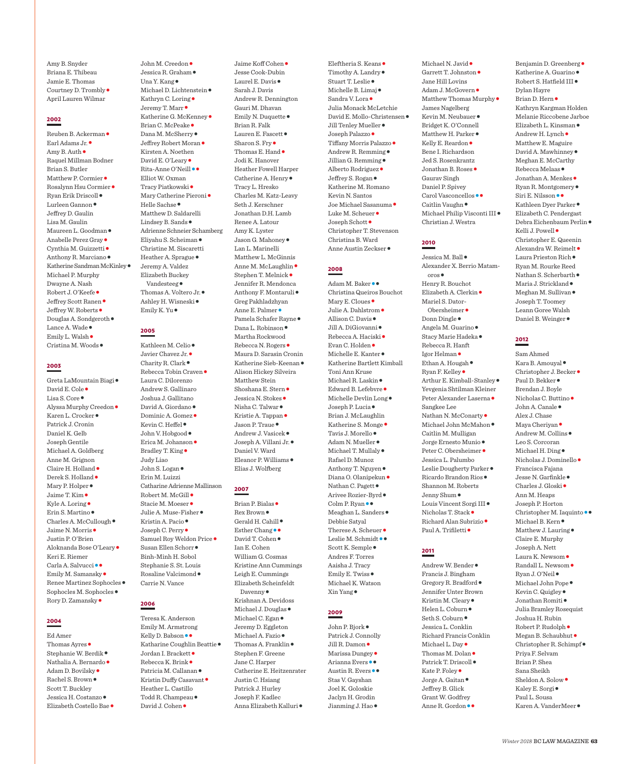Amy B. Snyder Briana E. Thibeau Jamie E. Thomas Courtney D. Trombly• April Lauren Wilmar

#### 2002

Reuben B. Ackerman •<br>Earl Adams Jr. •<br>Amy B. Auth •<br>Raquel Millman Bodner Brian S. Butler Matthew P. Cormier<br>• Rosalynn Hsu Cormier<br>• Ryan Erik Driscoll<br>• Lurleen Gannon<br>• Jeffrey D. Gaulin Lisa M. Gaulin Maureen L. Goodman •<br>Anabelle Perez Gray •<br>Cynthia M. Guizzetti •<br>Anthony R. Marciano<br>• Katherine Sandman McKinley •<br>Michael P. Murphy Dwayne A. Nash Robert J. O'Keefe<br>Jeffrey Scott Ranen<br>• Jeffrey W. Roberts<br>• Douglas A. Sondgeroth<br>• Lance A. Wade<br>• Emily L. Walsh<br>• Cristina M. Woods

#### 2003

Greta LaMountain Biagi<br>• David E. Cole<br>• Lisa S. Core<br>• Alyssa Murphy Creedon<br>• Karen L. Crocker<br>• Patrick J. Cronin Daniel K. Gelb Joseph Gentile Michael A. Goldberg Anne M. Grignon Claire H. Holland •<br>Derek S. Holland •<br>Mary P. Holper •<br>Jaime T. Kim •<br>Kyle A. Loring •<br>Erin S. Martino•<br>Jaime N. Mocullough •<br>Jaime N. Morris •<br>Justin P. O'Brien<br>Justin P. O'Brien Aloknanda Bose O'Leary• Keri E. Riemer Carla A. Salvucci<br>•• Emily M. Samansky<br>•• Renee Martinez Sophocles<br>•• Sophocles M. Sophocles<br>•• Rory D. Zamansky

#### 2004

Ed Amer Thomas Ayres •<br>Stephanie W. Berdik •<br>Nathalia A. Bernardo •<br>Adam D. Bovilsky •<br>Rachel S. Brown •<br>Scott T. Buckley Jessica H. Costanzo• Elizabeth Costello Bae•

John M. Creedon •<br>Jessica R. Graham •<br>Michael D. Lichtenstein •<br>Kathryn C. Loring •<br>Jeremy T. Marr •<br>Katherine G. McKenney •<br>Dana M. McSherry• Jeffrey Robert Moran •<br>Kirsten A. Noethen<br>Kirsten A. Noethen David E. O'Leary• Rita-Anne O'Neill•• Elliot W. Oxman Tracy Piatkowski •<br>Mary Catherine Pieroni •<br>Helle Sachse •<br>Matthew D. Saldarelli Lindsey B. Sands• Adrienne Schneier Schamberg Eliyahu S. Scheiman• Christine M. Siscaretti Heather A. Sprague• Jeremy A. Valdez Elizabeth Buckey Vandesteeg ●<br>Thomas A. Voltero Jr. ●<br>Ashley H. Wisneski ●<br>Emily K. Yu ●

#### 2005

Kathleen M. Celio •<br>Javier Chavez Jr. •<br>Charity R. Clark •<br>Rebecca Tobin Craven •<br>Laura C. Dilorenzo Andrew S. Gallinaro Joshua J. Gallitano David A. Giordano<br>• Dominic A. Gomez<br>• Kevin C. Heffel<br>• John V. Hobgood<br>• Erica M. Johanson<br>• Bradley T. King<br>• Judy Liao John S. Logan• Erin M. Luizzi Catharine Adrienne Mallinson<br>Bobert M. McGill Stacie M. Moeser •<br>Fisher •<br>Kristin A. Pacio •<br>Joseph C. Perry •<br>Samuel Roy Weldon Price •<br>Susan Ellen Schorr •<br>Usan Ellen Schorr<br>Binh-Minh H. Sobol Stephanie S. St. Louis Rosaline Valcimond• Carrie N. Vance

#### 2006

Teresa K. Anderson Emily M. Armstrong Kelly D. Babson<br>•• Katharine Coughlin Beattie<br>• Jordan I. Brackett<br>• Rebecca K. Brink<br>• Patricia M. Callanan<br>• Kristin Duffy Casavant<br>• Heather L. Castillo Todd R. Champeau ●<br>David J. Cohen ●

Jaime Koff Cohen• Jesse Cook-Dubin Laurel E. Davis• Sarah J. Davis Andrew R. Dennington Gauri M. Dhavan Emily N. Duquette• Brian R. Falk Lauren E. Fascett<br>• Sharon S. Fry<br>• Thomas E. Hand<br>• Jodi K. Hanover Heather Fowell Harper Catherine A. Henry• Tracy L. Hresko Charles M. Katz-Leavy Seth J. Kerschner Jonathan D.H. Lamb Renee A. Latour Amy K. Lyster Jason G. Mahoney• Lan L. Marinelli Matthew L. McGinnis Anne M. McLaughlin<br>Stephen T. Melnick<br>Jennifer R. Mendonca Anthony F. Montaruli• Greg Pakhladzhyan Anne E. Palmer ●<br>Pamela Schafer Rayne ●<br>Dana L. Robinson ●<br>Martha Rockwood Rebecca N. Rogers• Maura D. Sarasin Cronin Katherine Sieb-Keenan• Alison Hickey Silveira Matthew Stein Shoshana E. Stern<br>• Jessica N. Stokes<br>• Nisha C. Talwar<br>• Kristie A. Tappan<br>• Jason P. Traue<br>• Andrew J. Vasicek<br>• Joseph A. Villani Jr.<br>• Daniel V. Ward Eleanor P. Williams• Elias J. Wolfberg

#### 2007

Brian P. Bialas<br>• Rex Brown<br>• Gerald H. Cahill<br>• Esther Chang<br>• David T. Cohen<br>• Ian E. Cohen William G. Cosmas Kristine Ann Cummings Leigh E. Cummings Elizabeth Scheinfeldt Davenny• Krishnan A. Devidoss Michael J. Douglas<br>• Michael C. Egan<br>• Jeremy D. Eggleton Michael A. Fazio<br>• Thomas A. Franklin<br>• Stephen F. Greene Jane C. Harper Catherine E. Heitzenrater Justin C. Hsiang Patrick J. Hurley Joseph F. Kadlec Anna Elizabeth Kalluri•

Eleftheria S. Keans •<br>Timothy A. Landry •<br>Stuart T. Leslie •<br>Michelle B. Limaj •<br>Julia Monack McLetchie<br>Julia Monack McLetchie<br>David E. Mollo-Christensen • David E. Mollo-Christensen •<br>Jill Tenley Mueller •<br>Joseph Palazzo •<br>Tiffany Morris Palazzo •<br>Andrew R. Remming •<br>Jillian G. Remming •<br>Alberto Rodriguez •<br>Jeffrey S. Rogan •<br>Katherine M. Romano<br>Katherine M. Romano Kevin N. Santos Joe Michael Sasanuma• Luke M. Scheuer• Joseph Schott• Christopher T. Stevenson Christina B. Ward Anne Austin Zeckser•

#### 2008

Adam M. Baker•• Christina Queiros Bouchot Mary E. Cloues •<br>Julie A. Dahlstrom •<br>Allison C. Davis •<br>Jill A. DiGiovanni •<br>Rebecca A. Haciski<br>Michelle E. Kanter •<br>Michelle E. Kanter •<br>Katherine Bartlett Kimball Toni Ann Kruse Michael R. Laskin<br>• Edward B. Lefebvre<br>• Michelle Devlin Long<br>• Joseph P. Lucia<br>• Brian J. McLaughlin Katherine S. Monge •<br>Tavis J. Morello •<br>Adam N. Mueller •<br>Michael T. Mullaly •<br>Rafael D. Munoz Anthony T. Nguyen<br>• Diana O. Olanipekun<br>• Nathan C. Pagett<br>• Arivee Rozier-Byrd<br>• Colm P. Ryan •<br>Meaghan L. Sanders<br>• Debbie Satyal Therese A. Scheuer<br>• Leslie M. Schmidt ••<br>Scott K. Semple •<br>Andres F. Torres Aaisha J. Tracy Emily E. Twiss• Michael K. Watson Xin Yang•

#### 2009

John P. Bjork• Patrick J. Connolly Jill R. Damon• Marissa Dungey• Arianna Evers•• Austin R. Evers•• Stas V. Gayshan Joel K. Goloskie Jaclyn H. Grodin Jianming J. Hao•

Michael N. Javid<br>• Garrett T. Johnston<br>• Jane Hill Lovins<br>• Adam J. McGovern Matthew Thomas Murphy •<br>James Nagelberg Kevin M. Neubauer• Bridget K. O'Connell Matthew H. Parker<br>• Kelly E. Reardon<br>• Bene I. Richardson Jed S. Rosenkrantz Jonathan B. Roses<br>Gaurav Singh Daniel P. Spivey Carol Vasconcellos<br>•• Caitlin Vaughn •<br>Michael Philip Visconti III •<br>Christian J. Westra

#### 2010

Jessica M. Ball• Alexander X. Berrio Matamoros• Henry R. Bouchot Elizabeth A. Clerkin• Mariel S. Dator-Obersheimer• Donn Dingle• Angela M. Guarino• Stacy Marie Hadeka• Rebecca R. Hanft Igor Helman ●<br>Ethan A. Hougah ●<br>Ryan F. Kelley ●<br>Arthur E. Kimball-Stanley ●<br>Yevgenia Shtilman Kleiner Peter Alexander Laserna• Sangkee Lee Nathan N. McConarty<br>• Michael John McMahon<br>• Caitlin M. Mulligan Jorge Ernesto Munio<br>Peter C. Obersheimer<br>Jessica L. Palumbo Leslie Dougherty Parker<br>• Ricardo Brandon Rios<br>• Shannon M. Roberts<br>• Jenny Shum ● Louis Vincent Sorgi III<br>• Nicholas T. Stack<br>• Richard Alan Subrizio<br>• Paul A. Trifiletti<br>•

#### 2011

Andrew W. Bender• Francis J. Bingham Gregory R. Bradford •<br>Jennifer Unter Brown Kristin M. Cleary<br>• Helen L. Coburn •<br>Seth S. Coburn •<br>Jessica L. Conklin Richard Francis Conklin Michael L. Day •<br>Thomas M. Dolan •<br>Patrick T. Driscoll<br>• Kate P. Foley<br>Jorge A. Gaitan •<br>Jeffrey B. Glick Grant W. Godfrey Anne R. Gordon••

Benjamin D. Greenberg ●<br>Katherine A. Guarino ●<br>Robert S. Hatfield III ●<br>Dylan Havre Brian D. Hern ●<br>Kathryn Kargman Holden Melanie Riccobene Jarboe Elizabeth L. Kinsman ●<br>Andrew H. Lynch ●<br>Matthew E. Maguire David A. Mawhinney• Meghan E. McCarthy Rebecca Melaas<br>• Jonathan A. Menkes<br>• Ryan R. Montgomery<br>• Siri E. Nilsson<br>• Kathleen Dyer Parker<br>• Elizabeth C. Pendergast Debra Eichenbaum Perlin ●<br>Kelli J. Powell ●<br>Christopher E. Queenin Alexandra W. Reimelt ●<br>Laura Prieston Rich ●<br>Ryan M. Rourke Reed Nathan S. Scherbarth •<br>Maria J. Strickland •<br>Meghan M. Sullivan •<br>Joseph T. Toomey Leann Goree Walsh Daniel B. Weinger•

#### 2012

Sam Ahmed Kara B. Amouyal ●<br>Christopher J. Becker ●<br>Paul D. Bekker ●<br>Brendan J. Boyle Nicholas C. Buttino ●<br>John A. Canale ●<br>Alex J. Chase Maya Cheriyan<br>• Andrew M. Collins<br>• Leo S. Corcoran<br>• Michael H. Ding Nicholas J. Dominello ●<br>Francisca Fajana Jesse N. Garfinkle ●<br>Charles J. Gloski ●<br>Ann M. Heaps Joseph P. Horton Christopher M. Iaquinto<br>•• Michael B. Kern<br>•• Matthew J. Lauring<br>•• Claire E. Murphy Joseph A. Nett Laura K. Newsom ●<br>Ryan J. O'Neil ●<br>Michael John Pope ●<br>Mevin C. Quigley ●<br>Jonathan Romiti ●<br>Jonathan Romiti• Julia Bramley Rosequist Joshua H. Rubin Robert P. Rudolph ●<br>Megan B. Schaubhut ●<br>Christopher R. Schimpf ●<br>Priva F. Selvam Brian P. Shea Sana Sheikh Sheldon A. Solow• Kaley E. Sorgi• Paul L. Sousa Karen A. VanderMeer•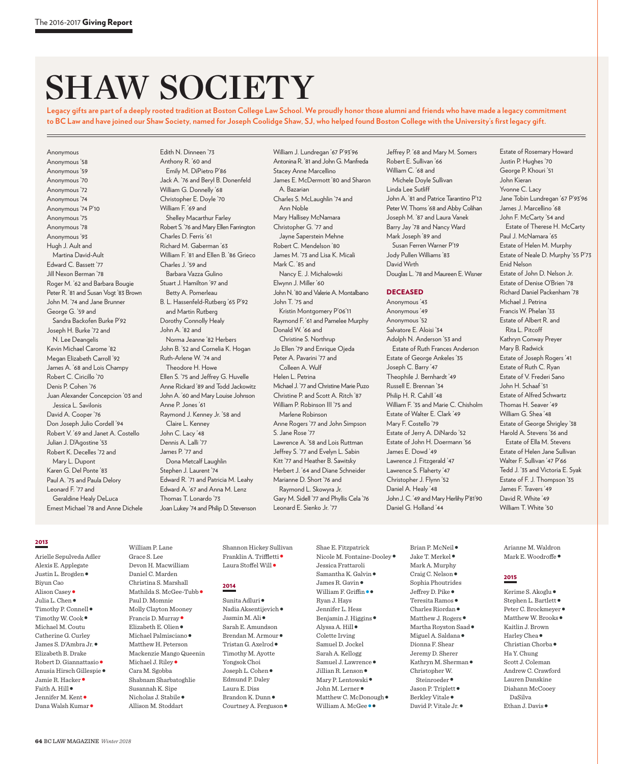### **SHAW SOCIETY**

**Legacy gifts are part of a deeply rooted tradition at Boston College Law School. We proudly honor those alumni and friends who have made a legacy commitment to BC Law and have joined our Shaw Society, named for Joseph Coolidge Shaw, SJ, who helped found Boston College with the University's first legacy gift.**

Anonymous Anonymous '58 Anonymous '59 Anonymous '70 Anonymous '72 Anonymous '74 Anonymous '74 P'10 Anonymous '75 Anonymous '78 Anonymous '93 Hugh J. Ault and Martina David-Ault Edward C. Bassett '77 Jill Nexon Berman '78 Roger M. '62 and Barbara Bougie Peter R. '81 and Susan Vogt '83 Brown John M. '74 and Jane Brunner George G. '59 and Sandra Backofen Burke P'92 Joseph H. Burke '72 and N. Lee Deangelis Kevin Michael Carome '82 Megan Elizabeth Carroll '92 James A. '68 and Lois Champy Robert C. Ciricillo '70 Denis P. Cohen '76 Juan Alexander Concepcion '03 and Jessica L. Savilonis David A. Cooper '76 Don Joseph Julio Cordell '94 Robert V. '69 and Janet A. Costello Julian J. D'Agostine '53 Robert K. Decelles '72 and Mary L. Dupont Karen G. Del Ponte '83 Paul A. '75 and Paula Delory Leonard F. '77 and Geraldine Healy DeLuca Ernest Michael '78 and Anne Dichele Edith N. Dinneen '73 Anthony R. '60 and Emily M. DiPietro P'86 Jack A. '76 and Beryl B. Donenfeld William G. Donnelly '68 Christopher E. Doyle '70 William F. '69 and Shelley Macarthur Farley Robert S. '76 and Mary Ellen Farrington Charles D. Ferris '61 Richard M. Gaberman '63 William F. '81 and Ellen B. '86 Grieco Charles J. '59 and Barbara Vazza Gulino Stuart J. Hamilton '97 and Betty A. Pomerleau B. L. Hassenfeld-Rutberg '65 P'92 and Martin Rutberg Dorothy Connolly Healy John A. '82 and Norma Jeanne '82 Herbers John B. '52 and Cornelia K. Hogan Ruth-Arlene W. '74 and Theodore H. Howe Ellen S. '75 and Jeffrey G. Huvelle Anne Rickard '89 and Todd Jackowitz John A. '60 and Mary Louise Johnson Anne P. Jones '61 Raymond J. Kenney Jr. '58 and Claire L. Kenney John C. Lacy '48 Dennis A. Lalli '77 James P. '77 and Dona Metcalf Laughlin Stephen J. Laurent '74 Edward R. '71 and Patricia M. Leahy Edward A. '67 and Anna M. Lenz Thomas T. Lonardo '73 Joan Lukey '74 and Philip D. Stevenson

William J. Lundregan '67 P'93'96 Antonina R. '81 and John G. Manfreda Stacey Anne Marcellino James E. McDermott '80 and Sharon A. Bazarian Charles S. McLaughlin '74 and Ann Noble Mary Hallisey McNamara Christopher G. '77 and Jayne Saperstein Mehne Robert C. Mendelson '80 James M. '73 and Lisa K. Micali Mark C. '85 and Nancy E. J. Michalowski Elwynn J. Miller '60 John N. '80 and Valerie A. Montalbano John T. '75 and Kristin Montgomery P'06'11 Raymond F. '61 and Pamelee Murphy Donald W. '66 and Christine S. Northrup Jo Ellen '79 and Enrique Ojeda Peter A. Pavarini '77 and Colleen A. Wulf Helen L. Petrina Michael J. '77 and Christine Marie Puzo Christine P. and Scott A. Ritch '87 William P. Robinson III '75 and Marlene Robinson Anne Rogers '77 and John Simpson S. Jane Rose '77 Lawrence A. '58 and Lois Ruttman Jeffrey S. '77 and Evelyn L. Sabin Kitt '77 and Heather B. Sawitsky Herbert J. '64 and Diane Schneider Marianne D. Short '76 and Raymond L. Skowyra Jr. Gary M. Sidell '77 and Phyllis Cela '76 Leonard E. Sienko Jr. '77

Jeffrey P. '68 and Mary M. Somers Robert E. Sullivan '66 William C. '68 and Michele Doyle Sullivan Linda Lee Sutliff John A. '81 and Patrice Tarantino P'12 Peter W. Thoms '68 and Abby Colihan Joseph M. '87 and Laura Vanek Barry Jay '78 and Nancy Ward Mark Joseph '89 and Susan Ferren Warner P'19 Jody Pullen Williams '83 David Wirth Douglas L. '78 and Maureen E. Wisner

#### **DECEASED**

Anonymous '43 Anonymous '49 Anonymous '52 Salvatore E. Aloisi '34 Adolph N. Anderson '53 and Estate of Ruth Frances Anderson Estate of George Ankeles '35 Joseph C. Barry '47 Theophile J. Bernhardt '49 Russell E. Brennan '34 Philip H. R. Cahill '48 William F. '35 and Marie C. Chisholm Estate of Walter E. Clark '49 Mary F. Costello '79 Estate of Jerry A. DiNardo '52 Estate of John H. Doermann '56 James E. Dowd '49 Lawrence J. Fitzgerald '47 Lawrence S. Flaherty '47 Christopher J. Flynn '52 Daniel A. Healy '48 John J. C. '49 and Mary Herlihy P'81'90 Daniel G. Holland '44

Estate of Rosemary Howard Justin P. Hughes '70 George P. Khouri '51 John Kieran Yvonne C. Lacy Jane Tobin Lundregan '67 P'93'96 James J. Marcellino '68 John F. McCarty '54 and Estate of Therese H. McCarty Paul J. McNamara '65 Estate of Helen M. Murphy Estate of Neale D. Murphy '55 P'73 Enid Nelson Estate of John D. Nelson Jr. Estate of Denise O'Brien '78 Richard Daniel Packenham '78 Michael | Petrina Francis W. Phelan '33 Estate of Albert R. and Rita L. Pitcoff Kathryn Conway Preyer Mary B. Radwick Estate of Joseph Rogers '41 Estate of Ruth C. Ryan Estate of V. Frederi Sano John H. Schaaf '51 Estate of Alfred Schwartz Thomas H. Seaver '49 William G. Shea '48 Estate of George Shrigley '38 Harold A. Stevens '36 and Estate of Ella M. Stevens Estate of Helen Jane Sullivan Walter F. Sullivan '47 P'66 Tedd J. '35 and Victoria E. Syak Estate of F. J. Thompson '35 James F. Travers '49 David R. White '49 William T. White '50

#### 2013

Arielle Sepulveda Adler Alexis E. Applegate Justin L. Brogden• Biyun Cao Alison Casey ●<br>Julia L. Chen ●<br>Timothy P. Connell ●<br>Timothy W. Cook ●<br>Michael M. Coutu Catherine G. Curley James S. D'Ambra Jr.• Elizabeth B. Drake Robert D. Giannattasio<br>• Anusia Hirsch Gillespie<br>• Jamie R. Hacker<br>• Faith A. Hill<br>• Jennifer M. Kent<br>• Dana Walsh Kumar• Grace S. Lee Devon H. Macwilliam Daniel C. Marden Christina S. Marshall Mathilda S. McGee-Tubb• Paul D. Momnie Molly Clayton Mooney Francis D. Murray<br>• Elizabeth E. Olien<br>• Michael Palmisciano<br>• Matthew H. Peterson Mackenzie Mango Queenin Michael J. Riley<br>Cara M. Sgobba Shabnam Sharbatoghlie Susannah K. Sipe Nicholas J. Stabile• Allison M. Stoddart

William P. Lane

Shannon Hickey Sullivan Franklin A. Triffletti •<br>Laura Stoffel Will •

#### 2014

Sunita Adluri •<br>Nadia Aksentijevich •<br>Jasmin M. Ali •<br>Sarah E. Amundson Brendan M. Armour• Tristan G. Axelrod• Timothy M. Ayotte Yongsok Choi Joseph L. Cohen• Edmund P. Daley Laura E. Diss Brandon K. Dunn<br>• Courtney A. Ferguson

Shae E. Fitzpatrick Nicole M. Fontaine-Dooley• Jessica Frattaroli Samantha K. Galvin •<br>James R. Gavin •<br>William F. Griffin • •<br>Ryan J. Hays Jennifer L. Hess Benjamin J. Higgins ●<br>Alyssa A. Hill ●<br>Colette Irving Samuel D. Jockel Sarah A. Kellogg Samuel J. Lawrence ●<br>Jillian R. Lenson ●<br>Mary P. Lentowski ●<br>John M. Lerner ●<br>Matthew C. McDonough ●<br>William A. McGee ● ●

Brian P. McNeil ●<br>Jake T. Merkel ●<br>Mark A. Murphy Craig C. Nelson• Sophia Phoutrides Jeffrey D. Pike •<br>Teresita Ramos •<br>Matthew J. Rogers •<br>Martha Royston Saad •<br>Miguel A. Saldana •<br>Dionna F. Shear Jeremy D. Sherer Kathryn M. Sherman• Christopher W. Steinroeder •<br>Jason P. Triplett •<br>Berkley Vitale •<br>David P. Vitale Jr. •

Arianne M. Waldron Mark E. Woodroffe•

#### 2015

Kerime S. Akoglu<br>• Stephen L. Bartlett<br>• Peter C. Brockmeyer<br>• Matthew W. Brooks<br>• Kaitlin J. Brown Harley Chea• Christian Chorba• Ha Y. Chung Scott J. Coleman Andrew C. Crawford Lauren Danskine Diahann McCooey DaSilva Ethan J. Davis•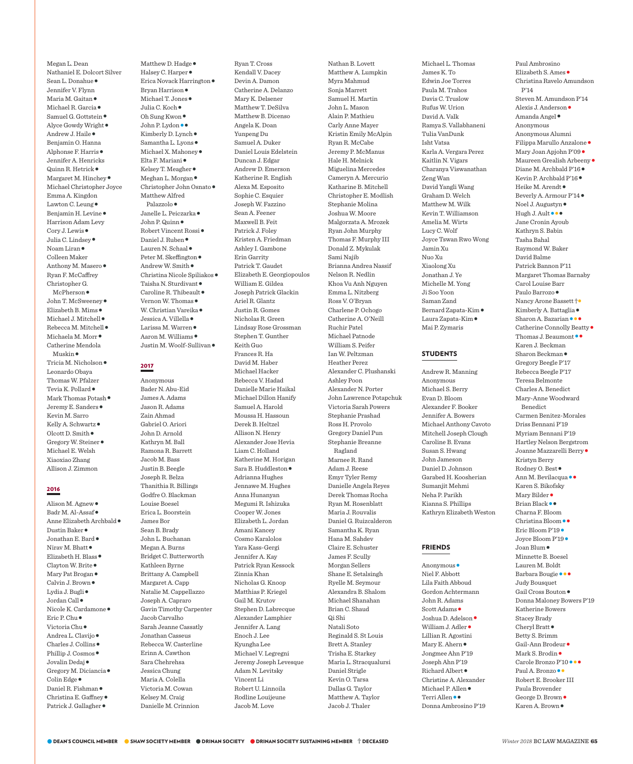Nathaniel E. Dolcort Silver Sean L. Donahue• Jennifer V. Flynn Maria M. Gaitan •<br>Michael R. Garcia<br>• Samuel G. Gottstein •<br>Alyce Gowdy Wright •<br>Andrew J. Haile<br>• Benjamin O. Hanna<br>• Alphonse F. Harris • Jennifer A. Henricks Quinn R. Hetrick• Margaret M. Hinchey• Michael Christopher Joyce Emma A. Kingdon Lawton C. Leung<br>• Benjamin H. Levine<br>• Harrison Adam Levy Cory J. Lewis• Julia C. Lindsey• Noam Liran• Colleen Maker Anthony M. Masero• Ryan F. McCaffrey Christopher G. McPherson<br>• John T. McSweeney<br>• Elizabeth B. Mims<br>• Michael J. Mitchell<br>• Rebecca M. Michael<br>• Michaela M. Morr<br>• Catherine Mendola Muskin• Tricia M. Nicholson• Leonardo Obaya Thomas W. Pfalzer Tevia K. Pollard •<br>Mark Thomas Potash •<br>Jeremy E. Sanders •<br>Kevin M. Sarro Kelly A. Schwartz<br>• Olcott D. Smith<br>• Gregory W. Steiner<br>• Michael E. Welsh Xiaoxiao Zhang Allison J. Zimmon 2016

Megan L. Dean

Alison M. Agnew<br>
Badr M. Al-Assaf<br>
Anne Elizabeth Archbald<br>
Oustin Baker<br>
Onnathan E. Bard<br>
Olison Baker<br>
Mirav M. Bhatt<br>
Elizabeth H. Blass<br>
Elizabeth H. Blass<br>
Clayton W. Brite<br>
Mary Pat Brogan<br>
Calvin J. Brown<br>
Clavin J

Matthew D. Hadge •<br>Halsey C. Harper •<br>Erica Novack Harrington •<br>Bryan Harrison •<br>Michael T. Jones •<br>John Sung Kwon •<br>John P. Lydon ••<br>Kimberly D. Lynch •<br>Samantha L. Lyons •<br>Michael X. Mahoney •<br>Elta F. Mariani •<br>Kelsey T. Palazzolo •<br>Janelle L. Peiczarka •<br>John P. Quinn •<br>Robert Vincent Rossi •<br>Daniel J. Ruben •<br>Daniel J. Ruben •<br>Lauren N. Schaal •<br>Peter M. Skeffington •<br>Andrew W. Smith •<br>Christina Nicole Spiliakos •<br>Taisha N. Sturdivant •<br>

#### 2017

Anonymous Bader N. Abu-Eid James A. Adams Jason R. Adams Zain Ahmad Gabriel O. Ariori John D. Arnold Kathryn M. Ball Ramona R. Barrett Jacob M. Bass Justin B. Beegle Joseph R. Belza Thanithia R. Billings Godfre O. Blackman Louise Boesel Erica L. Boorstein James Bor Sean B. Brady John L. Buchanan Megan A. Burns Bridget C. Butterworth Kathleen Byrne Brittany A. Campbell Margaret A. Capp Natalie M. Cappellazzo Joseph A. Capraro Gavin Timothy Carpenter Jacob Carvalho Sarah Jeanne Cassatly Jonathan Casseus Rebecca W. Casterline Erinn A. Cawthon Sara Chehrehsa Jessica Chung Maria A. Colella Victoria M. Cowan Kelsey M. Craig Danielle M. Crinnion

Ryan T. Cross Kendall V. Dacey Devin A. Damon Catherine A. Delanzo Mary K. Delsener Matthew T. DeSilva Matthew B. Dicenso Angela K. Doan Yunpeng Du Samuel A. Duker Daniel Louis Edelstein Duncan J. Edgar Andrew D. Emerson Katherine R. English Alexa M. Esposito Sophie C. Esquier Joseph W. Fazzino Sean A. Feener Maxwell B. Feit Patrick J. Foley Kristen A. Friedman Ashley I. Gambone Erin Garrity Patrick T. Gaudet Elizabeth E. Georgiopoulos William E. Gildea Joseph Patrick Glackin Ariel R. Glantz Justin R. Gomes Nicholas R. Green Lindsay Rose Grossman Stephen T. Gunther Keith Guo Frances R. Ha David M. Haber Michael Hacker Rebecca V. Hadad Danielle Marie Haikal Michael Dillon Hanify Samuel A. Harold Moussa H. Hassoun Derek B. Heltzel Allison N. Henry Alexander Jose Hevia Liam C. Holland Katherine M. Horigan Sara B. Huddleston• Adrianna Hughes Jennawe M. Hughes Anna Hunanyan Megumi R. Ishizuka Cooper W. Jones Elizabeth L. Jordan Amani Kancey Cosmo Karalolos Yara Kass-Gergi Jennifer A. Kay Patrick Ryan Kessock Zinnia Khan Nicholas G. Knoop Matthias P. Kriegel Gail M. Krutov Stephen D. Labrecque Alexander Lamphier Jennifer A. Lang Enoch J. Lee Kyungha Lee Michael V. Legregni Jeremy Joseph Levesque Adam N. Levitsky Vincent Li Robert U. Linnoila Rodline Louijeune Jacob M. Love

Nathan B. Lovett Matthew A. Lumpkin Myra Mahmud Sonja Marrett Samuel H. Martin John L. Mason Alain P. Mathieu Carly Anne Mayer Kristin Emily McAlpin Ryan R. McCabe Jeremy P. McManus Hale H. Melnick Miguelina Mercedes Cameryn A. Mercurio Katharine B. Mitchell Christopher E. Modlish Stephanie Molina Joshua W. Moore Malgorzata A. Mrozek Ryan John Murphy Thomas F. Murphy III Donald Z. Mykulak Sami Najib Brianna Andrea Nassif Nelson R. Nedlin Khoa Vu Anh Nguyen Emma L. Nitzberg Ross V. O'Bryan Charlene P. Ochogo Catherine A. O'Neill Ruchir Patel Michael Patnode William S. Peifer Ian W. Peltzman Heather Perez Alexander C. Plushanski Ashley Poon Alexander N. Porter John Lawrence Potapchuk Victoria Sarah Powers Stephanie Prashad Ross H. Provolo Gregory Daniel Pun Stephanie Breanne Ragland Marnee R. Rand Adam J. Reese Emyr Tyler Remy Danielle Angela Reyes Derek Thomas Rocha Ryan M. Rosenblatt Maria J. Rouvalis Daniel G. Ruizcalderon Samantha K. Ryan Hana M. Sahdev Claire E. Schuster James F. Scully Morgan Sellers Shane E. Setalsingh Ryelle M. Seymour Alexandra B. Shalom Michael Shanahan Brian C. Shaud Qi Shi Natali Soto Reginald S. St Louis Brett A. Stanley Trisha E. Starkey Maria L. Stracqualursi Daniel Strigle Kevin O. Tarsa Dallas G. Taylor Matthew A. Taylor Jacob J. Thaler

Michael L. Thomas James K. To Edwin Joe Torres Paula M. Trahos Davis C. Truslow Rufus W. Urion David A. Valk Ramya S. Vallabhaneni Tulia VanDunk Isht Vatsa Karla A. Vergara Perez Kaitlin N. Vigars Charanya Viswanathan Zeng Wan David Yangli Wang Graham D. Welch Matthew M. Wilk Kevin T. Williamson Amelia M. Wirts Lucy C. Wolf Joyce Tswan Rwo Wong Jamin Xu Nuo Xu Xiaolong Xu Jonathan J. Ye Michelle M. Yong Ji Soo Yoon Saman Zand Bernard Zapata-Kim ●<br>Laura Zapata-Kim ●<br>Mai P. Zymaris **STUDENTS** Andrew R. Manning Anonymous Michael S. Berry Evan D. Bloom Alexander F. Booker Jennifer A. Bowers Michael Anthony Cavoto Mitchell Joseph Clough Caroline B. Evans Susan S. Hwang John Jameson Daniel D. Johnson Garabed H. Koosherian Sumanjit Mehmi

#### FRIENDS

Neha P. Parikh Kianna S. Phillips Kathryn Elizabeth Weston

Anonymous• Niel F. Abbott Lila Faith Abboud Gordon Achtermann John R. Adams Scott Adams<br>• Joshua D. Adelson<br>• William J. Adler<br>• Lillian R. Agostini Mary E. Ahern •<br>Jongmee Ahn P'19 Joseph Ahn P'19 Richard Albert• Christine A. Alexander Michael P. Allen •<br>Terri Allen • •<br>Donna Ambrosino P'19 Paul Ambrosino Elizabeth S. Ames• Christina Ravelo Amundson P'14 Steven M. Amundson P'14 Alexis J. Anderson ●<br>Amanda Angel ●<br>Anonymous Anonymous Alumni Filippa Marullo Anzalone •<br>Mary Joan Apjohn P'09 •<br>Maureen Grealish Arbeeny •<br>Diane M. Archbald P'16 •<br>Kevin P. Archbald P'16 •<br>Heike M. Armour P'14 •<br>Noel J. Augustyn •<br>Hugh J. Ault •••<br>Jane Cronin Ayoub Kathryn S. Babin Tasha Bahal Raymond W. Baker David Balme Patrick Bannon P'11 Margaret Thomas Barnaby Carol Louise Barr Paulo Barrozo •<br>Nancy Arone Bassett †•<br>Kimberly A. Battaglia •<br>Sharon A. Bazarian •••<br>Catherine Connolly Beatty •<br>Thomas J. Beaumont ••<br>Karen J. Beckman Sharon Beckman• Gregory Beegle P'17 Rebecca Beegle P'17 Teresa Belmonte Charles A. Benedict Mary-Anne Woodward Benedict Carmen Benitez-Morales Driss Bennani P'19 Myriam Bennani P'19 Hartley Nelson Bergstrom Joanne Mazzarelli Berry• Kristyn Berry Rodney O. Best ●<br>Ann M. Bevilacqua ●●<br>Karen S. Bikofsky Mary Bilder •<br>Brian Black • •<br>Charna F. Bloom Christina Bloom ••<br>Eric Bloom P'19 •<br>Joyce Bloom P'19 •<br>Joan Blum •<br>Minnette B. Boesel Lauren M. Boldt Barbara Bougie •••<br>Judy Bousquet Gail Cross Bouton •<br>Donna Maloney Bowers P'19 Katherine Bowers Stacey Brady Cheryl Bratt •<br>Betty S. Brimm Gail-Ann Brodeur<br>• Mark S. Brodin<br>• Carole Bronzo P'10<br>• Paul A. Bronzo<br>• Robert E. Brooker III Paula Brovender George D. Brown• Karen A. Brown•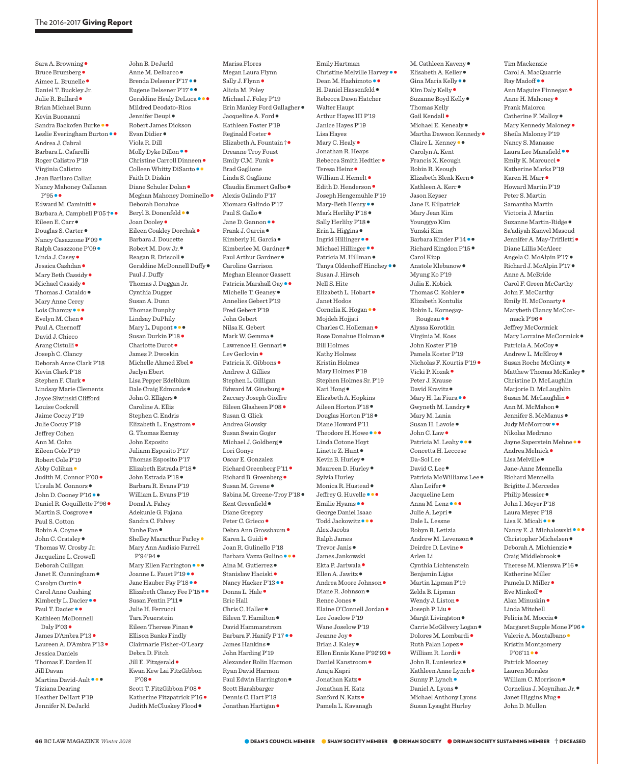Sara A. Browning<br>• Bruce Brumberg<br>• Aimee L. Brunelle<br>• Daniel T. Buckley Jr. Julie R. Bullard• Brian Michael Bunn Kevin Buonanni Sandra Backofen Burke•• Leslie Everingham Burton•• Andrea J. Cabral Barbara L. Cafarelli Roger Calistro P'19 Virginia Calistro Jean Barilaro Callan Nancy Mahoney Callanan P'95 ••<br>Edward M. Caminiti •<br>Barbara A. Campbell P'05 †••<br>Eileen E. Carr •<br>Douglas S. Carter •<br>Nancy Casazzone P'09 •<br>Ralph Casazzone P'09 •<br>Linda J. Casey •<br>Michael Cassidy •<br>Michael Cassidy •<br>Thomas J. Cataldo •<br>Mary Bet Lois Champy • • •<br>Evelyn M. Chen •<br>Paul A. Chernoff David J. Chieco Arang Cistulli• Joseph C. Clancy Deborah Anne Clark P'18 Kevin Clark P'18 Stephen F. Clark• Lindsay Marie Clements Joyce Siwinski Clifford Louise Cockrell Jaime Cocuy P'19 Julie Cocuy P'19 Jeffrey Cohen Ann M. Cohn Eileen Cole P'19 Robert Cole P'19 Abby Colihan<br>• Judith M. Connors<br>• John D. Cooney P'16<br>• Daniel R. Coquillette P'96<br>• Daniel R. Coquillette P'96<br>• Martin S. Cosgrove<br>• Paul S. Cotton Robin A. Coyne ●<br>John C. Cratsley ●<br>Thomas W. Crosby Jr. Jacqueline L. Crowell Deborah Culligan Janet E. Cunningham• Carolyn Curtin• Carol Anne Cushing Kimberly L. Dacier • •<br>Paul T. Dacier • •<br>Kathleen McDonnell Daly P'03• James D'Ambra P'13• Laureen A. D'Ambra P'13• Jessica Daniels Thomas F. Darden II Jill Davan Martina David-Ault • • •<br>Tiziana Dearing Heather DeHart P'19 Jennifer N. DeJarld

John B. DeJarld Anne M. Delbarco •<br>Brenda Delsener P'17 ••<br>Eugene Delsener P'17 ••<br>Geraldine Healy DeLuca •••<br>Mildred Deodato-Rios Jennifer Deupi• Robert James Dickson Evan Didier ●<br>Viola R. Dill<br>Molly Dyke Dillon ●● Christine Carroll Dinneen •<br>Colleen Whitty DiSanto ••<br>Faith D. Diskin<br>Diane Schuler Dolan • Meghan Mahoney Dominello •<br>Deborah Donahue Beryl B. Donenfeld • ●<br>Joan Dooley ●<br>Eileen Coakley Dorchak ●<br>Barbara J. Doucette Robert M. Dow Jr. ●<br>Reagan R. Driscoll ●<br>Geraldine McDonnell Duffy ●<br>Paul J. Duffy Thomas J. Duggan Jr. Cynthia Dugger Susan A. Dunn Thomas Dunphy Lindsay DuPhily Mary L. Dupont<br>•• Susan Durkin P'18<br>•• Charlotte Durot<br>•• James P. Dwoskin Michelle Ahmed Ebel• Jaclyn Ebert Lisa Pepper Edelblum Dale Craig Edmunds• John G. Elligers• Caroline A. Ellis Stephen C. Endris Elizabeth L. Engstrom• G. Thomas Esmay John Esposito Juliann Esposito P'17 Thomas Esposito P'17 Elizabeth Estrada P'18• John Estrada P'18• Barbara R. Evans P'19 William L. Evans P'19 Donal A. Fahey Adekunle G. Fajana Sandra C. Falvey Yanhe Fan• Shelley Macarthur Farley• Mary Ann Audisio Farrell P'94'94 •<br>Mary Ellen Farrington • • •<br>Joanne L. Faust P'19 • •<br>Jane Hauber Fay P'18 • •<br>Elizabeth Clancy Fee P'15 • •<br>Susan Fentin P'11 •<br>Julie H. Ferrucci Tara Feuerstein Eileen Therese Finan• Ellison Banks Findly Clairmarie Fisher-O'Leary Debra D. Fitch Jill E. Fitzgerald• Kwan Kew Lai FitzGibbon P'08• Scott T. FitzGibbon P'08• Katherine Fitzpatrick P'16• Judith McCluskey Flood•

Marisa Flores Megan Laura Flynn Sally J. Flynn• Alicia M. Foley Michael J. Foley P'19 Erin Manley Ford Gallagher ●<br>Jacqueline A. Ford ●<br>Kathleen Foster P'19 Reginald Foster<br>• Elizabeth A. Fountain †•<br>Dreanne Troy Foust Emily C.M. Funk• Brad Gaglione Linda S. Gaglione Claudia Emmert Galbo• Alexis Galindo P'17 Xiomara Galindo P'17 Paul S. Gallo •<br>Frank J. Garcia •<br>Kimberly H. Garcia •<br>Kimberlee M. Gardner •<br>Paul Arthur Gardner •<br>Caroline Garrison Meghan Eleanor Gassett Patricia Marshall Gay•• Michelle T. Geaney• Annelies Gebert P'19 Fred Gebert P'19 John Gebert Nilsa K. Gebert Mark W. Gemma<br>• Lawrence H. Gennari<br>• Lev Gerlovin<br>• Patricia K. Gibbons<br>• Andrew J. Gillies Stephen L. Gilligan Edward M. Ginsburg• Zaccary Joseph Gioffre Eileen Glasheen P'08• Susan G. Glick Andrea Glovsky Susan Swain Goger Michael J. Goldberg• Lori Gonye Oscar E. Gonzalez Richard Greenberg P'11<br>• Richard B. Greenberg<br>• Susan M. Greene-Troy P'18<br>• Kent Greenfield<br>• Kent Greenfield<br>• Diane Gregory Peter C. Grieco• Debra Ann Grossbaum• Karen L. Guidi• Joan R. Gulinello P'18 Barbara Vazza Gulino<br>•• Aina M. Gutierrez<br>• Stanislaw Haciski<br>•<br>Nancy Hacker P'13<br>•• Donna L. Hale<br>• Eric Hall Chris C. Haller ●<br>Eileen T. Hamilton ●<br>David Hammarstrom Barbara F. Hanify P'17 ••<br>James Hankins •<br>John Harding P'19 Alexander Rolin Harmon Ryan David Harmon Paul Edwin Harrington• Scott Harshbarger Dennis C. Hart P'18 Jonathan Hartigan•

Emily Hartman Christine Melville Harvey • ●<br>Dean M. Hashimoto ● ●<br>H. Daniel Hassenfeld ●<br>Rebecca Dawn Hatcher Walter Haupt Arthur Hayes III P'19 Janice Hayes P'19 Lisa Hayes Mary C. Healy •<br>Jonathan R. Heaps Rebecca Smith Hedtler<br>• Teresa Heinz<br>• William J. Hemelt<br>• Edith D. Henderson<br>• Joseph Hengemuhle P'19 Mary-Beth Henry••<br>Mark Herlihy P'18 •<br>Sally Herlihy P'18 •<br>Erin L. Higgins •<br>Ingrid Hillinger••<br>Michael Hillinger••<br>Patricia M. Hillman•<br>Tanya Oldenhoff Hinchey ••<br>Susan J. Hirsch Nell S. Hite Elizabeth L. Hobart• Janet Hodos Cornelia K. Hogan • •<br>Mojdeh Hojjati Charles C. Holleman •<br>Rose Donahue Holman •<br>Bill Holmes Kathy Holmes Kristin Holmes Mary Holmes P'19 Stephen Holmes Sr. P'19 Kari Hong ●<br>Elizabeth A. Hopkins Aileen Horton P'18• Douglas Horton P'18• Diane Howard P'11 Theodore H. Howe •••<br>Linda Cotone Hoyt Linette Z. Hunt ●<br>Kevin B. Hurley ●<br>Maureen D. Hurley ●<br>Sylvia Hurley Monica R. Hustead<br>Jeffrey G. Huvelle<br>••• Emilie Hyams<br>George Daniel Isaac Todd Jackowitz •••<br>Alex Jacobs Ralph James Trevor Janis ●<br>James Jankowski Ekta P. Jariwala<br>• Ellen A. Jawitz<br>• Andrea Moore Johnson<br>• Diane R. Johnson<br>• Renee Jones<br>• Elaine O'Connell Jordan<br>• Lee Joselow P'19 Wane Joselow P'19 Jeanne Joy ●<br>Brian J. Kaley ●<br>Ellen Ennis Kane P'92'93 ●<br>Daniel Kanstroom ●<br>Anuja Kapri Jonathan Katz• Jonathan H. Katz Sanford N. Katz •<br>Pamela L. Kavanagh

M. Cathleen Kaveny<br>• Elisabeth A. Keller<br>• Gina Maria Kelly<br>• Kim Daly Kelly<br>• Suzanne Boyd Kelly<br>• Thomas Kelly Gail Kendall •<br>Michael E. Kenealy •<br>Martha Dawson Kennedy •<br>Claire L. Kenney ••<br>Carolyn A. Kent Francis X. Keough Robin R. Keough Elizabeth Blenk Kern• Kathleen A. Kerr• Jason Keyser Jane E. Kilpatrick Mary Jean Kim Younggyo Kim Yunski Kim Barbara Kinder P'14•• Richard Kingdon P'15• Carol Kipp Anatole Klebanow• Myung Ko P'19 Julia E. Kobick Thomas C. Kohler ●<br>Elizabeth Kontulis Robin L. Kornegay-Rougeau•• Alyssa Korotkin Virginia M. Koss John Koster P'19 Pamela Koster P'19 Nicholas F. Kourtis P'19<br>• Vicki P. Kozak •<br>Peter J. Krause David Kravitz •<br>Mary H. La Fiura • •<br>Gwyneth M. Landry •<br>Mary M. Lania Susan H. Lavoie ●<br>John C. Law ●<br>Patricia M. Leahy ● ●●<br>Concetta H. Leccese Da-Sol Lee David C. Lee ●<br>Patricia McWilliams Lee ●<br>Alan Leifer ●<br>Jacqueline Lem Anna M. Lenz •••<br>Julie A. Lepri •<br>Dale L. Lessne Robyn R. Letizia Andrew M. Levenson •<br>Deirdre D. Levine •<br>Arlen Li Cynthia Lichtenstein Benjamin Ligas Martin Lipman P'19 Zelda B. Lipman Wendy J. Liston<br>
Joseph P. Liu<br>
Margit Livingston<br>
Carrie McGilvery Logan<br>
Dolores M. Lombardi<br>
Ruth Palan Lopez<br>
William R. Lordi<br>
John R. Luniewicz<br>
Sunny P. Lynch<br>
Daniel A. Lyons<br>
Daniel A. Lyons<br>
Michael Anthony Lyons Susan Lysaght Hurley

Tim Mackenzie Carol A. MacQuarrie Ray Madoff $\bullet\bullet$ <br>Ann Maguire Finnegan<br>Anne H. Mahoney<br>Frank Maiorca Catherine F. Malloy<br>• Mary Kennedy Maloney<br>• Sheila Maloney P'19 Nancy S. Manasse Laura Lee Mansfield • •<br>Emily K. Marcucci •<br>Katherine Marks P'19 Karen H. Marr •<br>Howard Martin P'19 Peter S. Martin Samantha Martin Victoria J. Martin Suzanne Martin-Ridge• Sa'adiyah Kanvel Masoud Jennifer A. May-Trifiletti• Diane Lillis McAleer Angela C. McAlpin P'17• Richard J. McAlpin P'17• Anne A. McBride Carol F. Green McCarthy John F. McCarthy Emily H. McConarty• Marybeth Clancy McCormack P'96• Jeffrey McCormick Mary Lorraine McCormick •<br>Patricia A. McCoy •<br>Andrew L. McElroy •<br>Susan Roche McGinty •<br>Matthew Thomas McKinley •<br>Christine D. McLaughlin Marjorie D. McLaughlin Susan M. McLaughlin •<br>Ann M. McMahon •<br>Jennifer S. McManus •<br>Judy McMorrow ••<br>Nikolas Medrano Jayne Saperstein Mehne•• Andrea Melnick• Lisa Melville• Jane-Anne Mennella Richard Mennella Brigitte J. Mercedes Philip Messier• John I. Meyer P'18 Laura Meyer P'18 Lisa K. Micali•••<br>Nancy E. J. Michalowski•••<br>Christopher Michelsen•<br>Deborah A. Michienzie•<br>Craig Middlebrook••<br>Therese M. Mierswa P'16•<br>Katherine Miller Pamela D. Miller<br>• Eve Minkoff<br>• Alan Minuskin<br>• Linda Mitchell Felicia M. Moccia •<br>Margaret Supple Mone P'96 •<br>Valerie A. Montalbano •<br>Kristin Montgomery P'06'11•• Patrick Mooney Lauren Morales William C. Morrison<br>• Cornelius J. Moynihan Jr. •<br>Janet Higgins Mug<br>• John D. Mullen